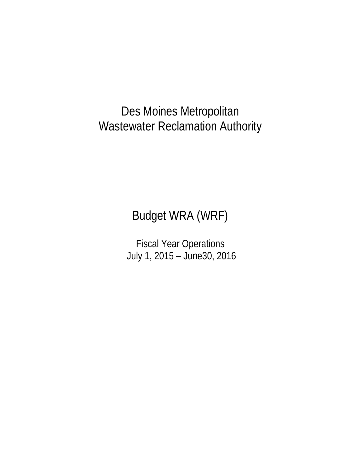## Des Moines Metropolitan Wastewater Reclamation Authority

# Budget WRA (WRF)

Fiscal Year Operations July 1, 2015 – June30, 2016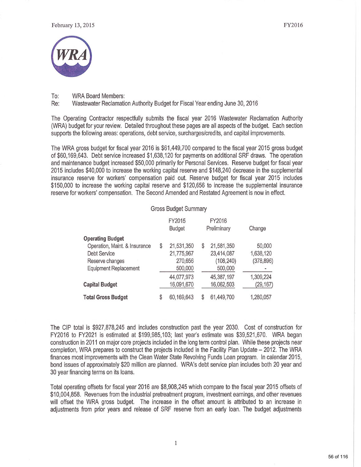

To: **WRA Board Members:** 

Re: Wastewater Reclamation Authority Budget for Fiscal Year ending June 30, 2016

The Operating Contractor respectfully submits the fiscal year 2016 Wastewater Reclamation Authority (WRA) budget for your review. Detailed throughout these pages are all aspects of the budget. Each section supports the following areas: operations, debt service, surcharges/credits, and capital improvements.

The WRA gross budget for fiscal year 2016 is \$61,449,700 compared to the fiscal year 2015 gross budget of \$60,169,643. Debt service increased \$1,638,120 for payments on additional SRF draws. The operation and maintenance budget increased \$50,000 primarily for Personal Services. Reserve budget for fiscal year 2015 includes \$40,000 to increase the working capital reserve and \$148,240 decrease in the supplemental insurance reserve for workers' compensation paid out. Reserve budget for fiscal year 2015 includes \$150,000 to increase the working capital reserve and \$120,656 to increase the supplemental insurance reserve for workers' compensation. The Second Amended and Restated Agreement is now in effect.

#### **Gross Budget Summary**

| FY2015<br><b>Budget</b> |    | FY2016     | Change      |
|-------------------------|----|------------|-------------|
|                         |    |            |             |
| \$<br>21,531,350        | \$ | 21,581,350 | 50,000      |
| 21,775,967              |    | 23,414,087 | 1,638,120   |
| 270,656                 |    | (108, 240) | (378, 896)  |
| 500,000                 |    | 500,000    |             |
| 44,077,973              |    | 45,387,197 | 1,309,224   |
| 16,091,670              |    | 16,062,503 | (29, 167)   |
| \$<br>60,169,643        | S  | 61,449,700 | 1,280,057   |
|                         |    |            | Preliminary |

The CIP total is \$927,878,245 and includes construction past the year 2030. Cost of construction for FY2016 to FY2021 is estimated at \$199,985,103; last year's estimate was \$39,521,670. WRA began construction in 2011 on major core projects included in the long term control plan. While these projects near completion, WRA prepares to construct the projects included in the Facility Plan Update – 2012. The WRA finances most improvements with the Clean Water State Revolving Funds Loan program. In calendar 2015, bond issues of approximately \$20 million are planned. WRA's debt service plan includes both 20 year and 30 year financing terms on its loans.

Total operating offsets for fiscal year 2016 are \$8,908,245 which compare to the fiscal year 2015 offsets of \$10,004,858. Revenues from the industrial pretreatment program, investment earnings, and other revenues will offset the WRA gross budget. The increase in the offset amount is attributed to an increase in adjustments from prior years and release of SRF reserve from an early loan. The budget adjustments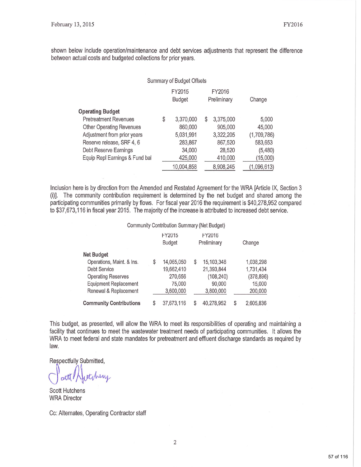shown below include operation/maintenance and debt services adjustments that represent the difference between actual costs and budgeted collections for prior years.

|                                 | <b>Summary of Budget Offsets</b> |                         |    |                       |             |
|---------------------------------|----------------------------------|-------------------------|----|-----------------------|-------------|
|                                 |                                  | FY2015<br><b>Budget</b> |    | FY2016<br>Preliminary | Change      |
| <b>Operating Budget</b>         |                                  |                         |    |                       |             |
| <b>Pretreatment Revenues</b>    | \$                               | 3,370,000               | \$ | 3,375,000             | 5,000       |
| <b>Other Operating Revenues</b> |                                  | 860,000                 |    | 905,000               | 45,000      |
| Adjustment from prior years     |                                  | 5,031,991               |    | 3,322,205             | (1,709,786) |
| Reserve release, SRF 4, 6       |                                  | 283,867                 |    | 867,520               | 583,653     |
| Debt Reserve Earnings           |                                  | 34,000                  |    | 28,520                | (5,480)     |
| Equip Repl Earnings & Fund bal  |                                  | 425,000                 |    | 410,000               | (15,000)    |
|                                 |                                  | 10,004,858              |    | 8,908,245             | (1,096,613) |

Inclusion here is by direction from the Amended and Restated Agreement for the WRA [Article IX, Section 3 (i)]. The community contribution requirement is determined by the net budget and shared among the participating communities primarily by flows. For fiscal year 2016 the requirement is \$40,278,952 compared to \$37,673,116 in fiscal year 2015. The majority of the increase is attributed to increased debt service.

#### Community Contribution Summary (Net Budget)

|                                |    | FY2015<br><b>Budget</b> | FY2016<br>Preliminary |   | Change     |
|--------------------------------|----|-------------------------|-----------------------|---|------------|
| <b>Net Budget</b>              |    |                         |                       |   |            |
| Operations, Maint. & Ins.      | \$ | 14,065,050              | \$<br>15,103,348      |   | 1,038,298  |
| Debt Service                   |    | 19,662,410              | 21,393,844            |   | 1,731,434  |
| <b>Operating Reserves</b>      |    | 270,656                 | (108, 240)            |   | (378, 896) |
| <b>Equipment Replacement</b>   |    | 75,000                  | 90,000                |   | 15,000     |
| Renewal & Replacement          |    | 3,600,000               | 3,800,000             |   | 200,000    |
| <b>Community Contributions</b> | S  | 37,673,116              | 40,278,952            | S | 2,605,836  |

This budget, as presented, will allow the WRA to meet its responsibilities of operating and maintaining a facility that continues to meet the wastewater treatment needs of participating communities. It allows the WRA to meet federal and state mandates for pretreatment and effluent discharge standards as required by law.

Respectfully Submitted.

etchery

**Scott Hutchens WRA Director** 

Cc: Alternates, Operating Contractor staff

 $\overline{2}$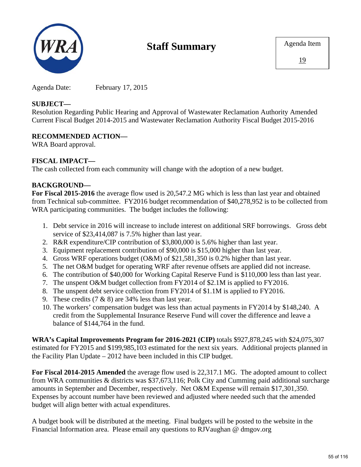

## **Staff Summary**

Agenda Date: February 17, 2015

### **SUBJECT—**

Resolution Regarding Public Hearing and Approval of Wastewater Reclamation Authority Amended Current Fiscal Budget 2014-2015 and Wastewater Reclamation Authority Fiscal Budget 2015-2016

## **RECOMMENDED ACTION—**

WRA Board approval.

## **FISCAL IMPACT—**

The cash collected from each community will change with the adoption of a new budget.

## **BACKGROUND—**

**For Fiscal 2015-2016** the average flow used is 20,547.2 MG which is less than last year and obtained from Technical sub-committee. FY2016 budget recommendation of \$40,278,952 is to be collected from WRA participating communities. The budget includes the following:

- 1. Debt service in 2016 will increase to include interest on additional SRF borrowings. Gross debt service of \$23,414,087 is 7.5% higher than last year.
- 2. R&R expenditure/CIP contribution of \$3,800,000 is 5.6% higher than last year.
- 3. Equipment replacement contribution of \$90,000 is \$15,000 higher than last year.
- 4. Gross WRF operations budget (O&M) of \$21,581,350 is 0.2% higher than last year.
- 5. The net O&M budget for operating WRF after revenue offsets are applied did not increase.
- 6. The contribution of \$40,000 for Working Capital Reserve Fund is \$110,000 less than last year.
- 7. The unspent O&M budget collection from FY2014 of \$2.1M is applied to FY2016.
- 8. The unspent debt service collection from FY2014 of \$1.1M is applied to FY2016.
- 9. These credits  $(7 \& 8)$  are 34% less than last year.
- 10. The workers' compensation budget was less than actual payments in FY2014 by \$148,240. A credit from the Supplemental Insurance Reserve Fund will cover the difference and leave a balance of \$144,764 in the fund.

**WRA's Capital Improvements Program for 2016-2021 (CIP)** totals \$927,878,245 with \$24,075,307 estimated for FY2015 and \$199,985,103 estimated for the next six years. Additional projects planned in the Facility Plan Update – 2012 have been included in this CIP budget.

**For Fiscal 2014-2015 Amended** the average flow used is 22,317.1 MG. The adopted amount to collect from WRA communities & districts was \$37,673,116; Polk City and Cumming paid additional surcharge amounts in September and December, respectively. Net O&M Expense will remain \$17,301,350. Expenses by account number have been reviewed and adjusted where needed such that the amended budget will align better with actual expenditures.

A budget book will be distributed at the meeting. Final budgets will be posted to the website in the Financial Information area. Please email any questions to RJVaughan @ dmgov.org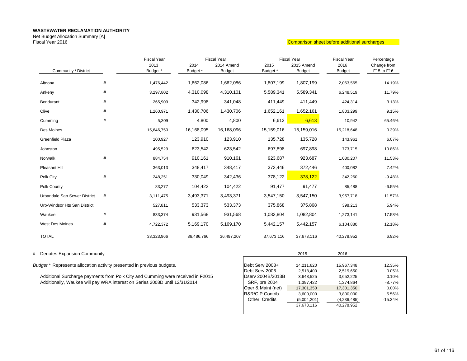Net Budget Allocation Summary [A] Fiscal Year 2016

#### Comparison sheet before additional surcharges

|                              |      | <b>Fiscal Year</b> |            | <b>Fiscal Year</b> |            | <b>Fiscal Year</b> | <b>Fiscal Year</b> | Percentage  |
|------------------------------|------|--------------------|------------|--------------------|------------|--------------------|--------------------|-------------|
|                              |      | 2013               | 2014       | 2014 Amend         | 2015       | 2015 Amend         | 2016               | Change from |
| Community / District         |      | Budget *           | Budget *   | <b>Budget</b>      | Budget *   | <b>Budget</b>      | <b>Budget</b>      | F15 to F16  |
| Altoona                      | #    | 1,476,442          | 1,662,086  | 1,662,086          | 1,807,199  | 1,807,199          | 2,063,565          | 14.19%      |
| Ankeny                       | #    | 3,297,802          | 4,310,098  | 4,310,101          | 5,589,341  | 5,589,341          | 6,248,519          | 11.79%      |
| Bondurant                    | #    | 265,909            | 342,998    | 341,048            | 411,449    | 411,449            | 424,314            | 3.13%       |
| Clive                        | #    | 1,260,971          | 1,430,706  | 1,430,706          | 1,652,161  | 1,652,161          | 1,803,299          | 9.15%       |
| Cumming                      | #    | 5,309              | 4,800      | 4,800              | 6,613      | 6,613              | 10,942             | 65.46%      |
| Des Moines                   |      | 15,646,750         | 16,168,095 | 16,168,096         | 15,159,016 | 15,159,016         | 15,218,648         | 0.39%       |
| <b>Greenfield Plaza</b>      |      | 100,927            | 123,910    | 123,910            | 135,728    | 135,728            | 143,961            | 6.07%       |
| Johnston                     |      | 495,529            | 623,542    | 623,542            | 697,898    | 697,898            | 773,715            | 10.86%      |
| Norwalk                      | #    | 884,754            | 910,161    | 910,161            | 923,687    | 923,687            | 1,030,207          | 11.53%      |
| Pleasant Hill                |      | 363,013            | 348,417    | 348,417            | 372,446    | 372,446            | 400,082            | 7.42%       |
| Polk City                    | $\#$ | 248,251            | 330,049    | 342,436            | 378,122    | 378,122            | 342,260            | $-9.48%$    |
| Polk County                  |      | 83,277             | 104,422    | 104,422            | 91,477     | 91,477             | 85,488             | $-6.55%$    |
| Urbandale San Sewer District | #    | 3,111,475          | 3,493,371  | 3,493,371          | 3,547,150  | 3,547,150          | 3,957,718          | 11.57%      |
| Urb-Windsor Hts San District |      | 527,811            | 533,373    | 533,373            | 375,868    | 375,868            | 398,213            | 5.94%       |
| Waukee                       | #    | 833,374            | 931,568    | 931,568            | 1,082,804  | 1,082,804          | 1,273,141          | 17.58%      |
| West Des Moines              | #    | 4,722,372          | 5,169,170  | 5,169,170          | 5,442,157  | 5,442,157          | 6,104,880          | 12.18%      |
| <b>TOTAL</b>                 |      | 33,323,966         | 36,486,766 | 36,497,207         | 37,673,116 | 37,673,116         | 40,278,952         | 6.92%       |

# Denotes Expansion Community <sup>2015</sup> <sup>2016</sup>

*Budget \** Represents allocation activity presented in previous budgets.

Additional Surcharge payments from Polk City and Cumming were received in F2015 Additionally, Waukee will pay WRA interest on Series 2008D until 12/31/2014

|                      | 2015        | 2016        |           |
|----------------------|-------------|-------------|-----------|
|                      |             |             |           |
| Debt Serv 2008+      | 14,211,620  | 15,967,348  | 12.35%    |
| Debt Serv 2006       | 2,518,400   | 2,519,650   | 0.05%     |
| Dserv 2004B/2013B    | 3.648.525   | 3,652,225   | 0.10%     |
| <b>SRF, pre 2004</b> | 1.397.422   | 1,274,864   | $-8.77%$  |
| Oper & Maint (net)   | 17,301,350  | 17,301,350  | $0.00\%$  |
| R&R/CIP Contrib.     | 3,600,000   | 3,800,000   | 5.56%     |
| Other, Credits       | (5,004,201) | (4,236,485) | $-15.34%$ |
|                      | 37.673.116  | 40.278.952  |           |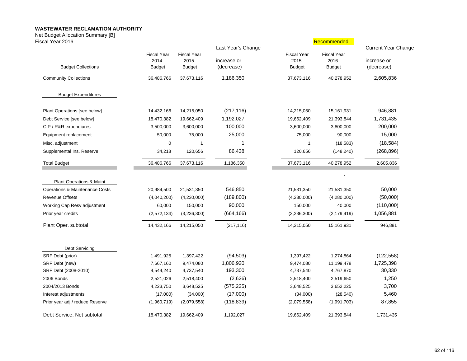Net Budget Allocation Summary [B]

| Fiscal Year 2016                |                                             |                                             |                                                 |                                             | Recommended                                 |                                                         |
|---------------------------------|---------------------------------------------|---------------------------------------------|-------------------------------------------------|---------------------------------------------|---------------------------------------------|---------------------------------------------------------|
| <b>Budget Collections</b>       | <b>Fiscal Year</b><br>2014<br><b>Budget</b> | <b>Fiscal Year</b><br>2015<br><b>Budget</b> | Last Year's Change<br>increase or<br>(decrease) | <b>Fiscal Year</b><br>2015<br><b>Budget</b> | <b>Fiscal Year</b><br>2016<br><b>Budget</b> | <b>Current Year Change</b><br>increase or<br>(decrease) |
| <b>Community Collections</b>    | 36,486,766                                  | 37,673,116                                  | 1,186,350                                       | 37,673,116                                  | 40,278,952                                  | 2,605,836                                               |
| <b>Budget Expenditures</b>      |                                             |                                             |                                                 |                                             |                                             |                                                         |
| Plant Operations [see below]    | 14,432,166                                  | 14,215,050                                  | (217, 116)                                      | 14,215,050                                  | 15,161,931                                  | 946,881                                                 |
| Debt Service [see below]        | 18,470,382                                  | 19,662,409                                  | 1,192,027                                       | 19,662,409                                  | 21,393,844                                  | 1,731,435                                               |
| CIP / R&R expendiures           | 3,500,000                                   | 3,600,000                                   | 100,000                                         | 3,600,000                                   | 3,800,000                                   | 200,000                                                 |
| Equipment replacement           | 50,000                                      | 75,000                                      | 25,000                                          | 75,000                                      | 90,000                                      | 15,000                                                  |
| Misc. adjustment                | 0                                           | $\mathbf 1$                                 | 1                                               | $\mathbf{1}$                                | (18, 583)                                   | (18, 584)                                               |
| Supplemental Ins. Reserve       | 34,218                                      | 120,656                                     | 86,438                                          | 120,656                                     | (148, 240)                                  | (268, 896)                                              |
| <b>Total Budget</b>             | 36,486,766                                  | 37,673,116                                  | 1,186,350                                       | 37,673,116                                  | 40,278,952                                  | 2,605,836                                               |
| Plant Operations & Maint        |                                             |                                             |                                                 |                                             |                                             |                                                         |
| Operations & Maintenance Costs  | 20,984,500                                  | 21,531,350                                  | 546,850                                         | 21,531,350                                  | 21,581,350                                  | 50,000                                                  |
| <b>Revenue Offsets</b>          | (4,040,200)                                 | (4,230,000)                                 | (189, 800)                                      | (4,230,000)                                 | (4,280,000)                                 | (50,000)                                                |
| Working Cap Resv adjustment     | 60,000                                      | 150,000                                     | 90,000                                          | 150,000                                     | 40,000                                      | (110,000)                                               |
| Prior year credits              | (2,572,134)                                 | (3,236,300)                                 | (664, 166)                                      | (3,236,300)                                 | (2, 179, 419)                               | 1,056,881                                               |
| Plant Oper. subtotal            | 14,432,166                                  | 14,215,050                                  | (217, 116)                                      | 14,215,050                                  | 15,161,931                                  | 946,881                                                 |
| Debt Servicing                  |                                             |                                             |                                                 |                                             |                                             |                                                         |
| SRF Debt (prior)                | 1,491,925                                   | 1,397,422                                   | (94, 503)                                       | 1,397,422                                   | 1,274,864                                   | (122, 558)                                              |
| SRF Debt (new)                  | 7,667,160                                   | 9,474,080                                   | 1,806,920                                       | 9,474,080                                   | 11,199,478                                  | 1,725,398                                               |
| SRF Debt (2008-2010)            | 4,544,240                                   | 4,737,540                                   | 193,300                                         | 4,737,540                                   | 4,767,870                                   | 30,330                                                  |
| 2006 Bonds                      | 2,521,026                                   | 2,518,400                                   | (2,626)                                         | 2,518,400                                   | 2,519,650                                   | 1,250                                                   |
| 2004/2013 Bonds                 | 4,223,750                                   | 3,648,525                                   | (575, 225)                                      | 3,648,525                                   | 3,652,225                                   | 3,700                                                   |
| Interest adjustments            | (17,000)                                    | (34,000)                                    | (17,000)                                        | (34,000)                                    | (28, 540)                                   | 5,460                                                   |
| Prior year adj / reduce Reserve | (1,960,719)                                 | (2,079,558)                                 | (118, 839)                                      | (2,079,558)                                 | (1,991,703)                                 | 87,855                                                  |
| Debt Service, Net subtotal      | 18,470,382                                  | 19,662,409                                  | 1,192,027                                       | 19.662.409                                  | 21,393,844                                  | 1,731,435                                               |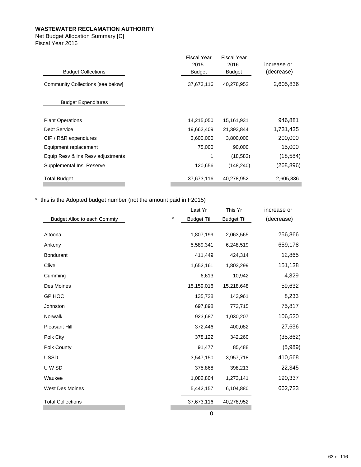Net Budget Allocation Summary [C] Fiscal Year 2016

|                                   | <b>Fiscal Year</b> | <b>Fiscal Year</b> |             |
|-----------------------------------|--------------------|--------------------|-------------|
|                                   | 2015               | 2016               | increase or |
| <b>Budget Collections</b>         | <b>Budget</b>      | <b>Budget</b>      | (decrease)  |
| Community Collections [see below] | 37,673,116         | 40,278,952         | 2,605,836   |
| <b>Budget Expenditures</b>        |                    |                    |             |
| <b>Plant Operations</b>           | 14,215,050         | 15,161,931         | 946,881     |
| Debt Service                      | 19,662,409         | 21,393,844         | 1,731,435   |
| CIP / R&R expendiures             | 3,600,000          | 3,800,000          | 200,000     |
| Equipment replacement             | 75,000             | 90,000             | 15,000      |
| Equip Resv & Ins Resv adjustments | 1                  | (18,583)           | (18, 584)   |
| Supplemental Ins. Reserve         | 120,656            | (148, 240)         | (268,896)   |
| <b>Total Budget</b>               | 37,673,116         | 40,278,952         | 2,605,836   |
|                                   |                    |                    |             |

\* this is the Adopted budget number (not the amount paid in F2015)

|                                    |          | Last Yr           | This Yr           | increase or |
|------------------------------------|----------|-------------------|-------------------|-------------|
| <b>Budget Alloc to each Commty</b> | $^\star$ | <b>Budget Ttl</b> | <b>Budget Ttl</b> | (decrease)  |
|                                    |          |                   |                   |             |
| Altoona                            |          | 1,807,199         | 2,063,565         | 256,366     |
| Ankeny                             |          | 5,589,341         | 6,248,519         | 659,178     |
| <b>Bondurant</b>                   |          | 411,449           | 424,314           | 12,865      |
| Clive                              |          | 1,652,161         | 1,803,299         | 151,138     |
| Cumming                            |          | 6,613             | 10,942            | 4,329       |
| Des Moines                         |          | 15,159,016        | 15,218,648        | 59,632      |
| GP HOC                             |          | 135,728           | 143,961           | 8,233       |
| Johnston                           |          | 697,898           | 773,715           | 75,817      |
| Norwalk                            |          | 923,687           | 1,030,207         | 106,520     |
| Pleasant Hill                      |          | 372,446           | 400,082           | 27,636      |
| Polk City                          |          | 378,122           | 342,260           | (35, 862)   |
| Polk County                        |          | 91,477            | 85,488            | (5,989)     |
| <b>USSD</b>                        |          | 3,547,150         | 3,957,718         | 410,568     |
| U W SD                             |          | 375,868           | 398,213           | 22,345      |
| Waukee                             |          | 1,082,804         | 1,273,141         | 190,337     |
| <b>West Des Moines</b>             |          | 5,442,157         | 6,104,880         | 662,723     |
| <b>Total Collections</b>           |          | 37,673,116        | 40,278,952        |             |
|                                    |          |                   |                   |             |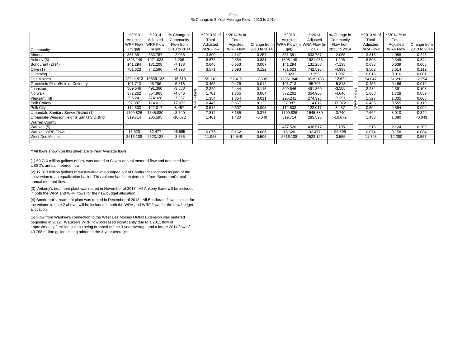#### Final% Change in 3-Year Average Flow - 2013 to 2014

|                                             | **2013          | **2014          | % Change in  |               | **2013 % of     | **2014 % of     |              | **2013                              | **2014    | % Change in  |    | **2013 % of     | **2014 % of     |              |
|---------------------------------------------|-----------------|-----------------|--------------|---------------|-----------------|-----------------|--------------|-------------------------------------|-----------|--------------|----|-----------------|-----------------|--------------|
|                                             | Adjusted        | Adjusted        | Community    |               | Total           | Total           |              | Adjusted                            | Adjusted  | Community    |    | Total           | Total           |              |
|                                             | <b>WRF Flow</b> | <b>WRF Flow</b> | Flow from    |               | Adjusted        | Adjusted        |              | Change from WRA Flow (m WRA Flow (m |           | Flow from    |    | Adjusted        | Adjusted        | Change from  |
| Community                                   | (m gal)         | (m gal)         | 2013 to 2014 |               | <b>WRF Flow</b> | <b>WRF Flow</b> | 2013 to 2014 | gal)                                | gal)      | 2013 to 2014 |    | <b>WRA Flow</b> | <b>WRA Flow</b> | 2013 to 2014 |
| Altoona                                     | 851.351         | 833.767         | $-2.065$     |               | 3.890           | 4.147           | 0.257        | 851.351                             | 833.767   | $-2.065$     |    | 3.815           | 4.058           | 0.243        |
| Ankeny (3)                                  | 1898.149        | 1921.033        | 1.206        |               | 8.673           | 9.554           | 0.881        | 1898.149                            | 1921.033  | 1.206        |    | 8.505           | 9.349           | 0.844        |
| Bondurant (2) (4)                           | 141.294         | 131.208         | $-7.138$     |               | 0.646           | 0.653           | 0.007        | 141.294                             | 131.208   | $-7.138$     |    | 0.633           | 0.639           | 0.005        |
| Clive(1)                                    | 781.623         | 742.596         | $-4.993$     |               | 3.571           | 3.693           | 0.122        | 781.623                             | 742.596   | $-4.993$     |    | 3.502           | 3.614           | 0.112        |
| Cumming                                     |                 |                 |              |               |                 |                 |              | 3.320                               | 3.355     | 1.037        |    | 0.015           | 0.016           | 0.001        |
| Des Moines                                  | 12444.413       | 10539.188       | $-15.310$    |               | 55.110          | 52.415          | $-2.695$     | 12061.846                           | 10539.188 | $-12.624$    |    | 54.047          | 51.293          | $-2.754$     |
| Greenfield Plaza/Hills of Coventry          | 101.713         | 95.796          | $-5.818$     |               | 0.465           | 0.476           | 0.012        | 101.713                             | 95.796    | $-5.818$     |    | 0.456           | 0.466           | 0.010        |
| Johnston                                    | 509.646         | 491.360         | $-3.588$     | ဖ             | 2.329           | 2.444           | 0.115        | 509.646                             | 491.360   | $-3.588$     | ဖာ | 2.284           | 2.391           | 0.108        |
| Norwalk                                     | 372.262         | 354.965         | $-4.646$     | $\bar{\circ}$ | 1.701           | 1.765           | 0.064        | 372.262                             | 354.965   | -4.646       | ₫  | 1.668           | 1.728           | 0.059        |
| Pleasant Hill                               | 296.241         | 274.328         | $-7.397$     |               | 1.354           | 1.364           | 0.011        | 296.241                             | 274.328   | $-7.397$     |    | .327            | 1.335           | 0.008        |
| Polk County                                 | 97.387          | 114.012         | 17.072       | ı             | 0.445           | 0.567           | 0.122        | 97.387                              | 114.012   | 17.072       | ۱ž | 0.436           | 0.555           | 0.119        |
| Polk City                                   | 112.503         | 122.017         | 8.457        |               | 0.514           | 0.607           | 0.093        | 112.503                             | 122.017   | 8.457        |    | 0.504           | 0.594           | 0.090        |
| Urbandale Sanitary Sewer District (1)       | 1709.826        | 1645.880        | $-3.740$     |               | 7.812           | 8.185           | 0.373        | 1709.826                            | 1645.880  | $-3.740$     |    | 7.662           | 8.010           | 0.349        |
| Urbandale-Windsor Heights Sanitary District | 319.714         | 285.595         | $-10.672$    |               | 1.461           | 1.420           | $-0.040$     | 319.714                             | 285.595   | $-10.672$    |    | 1.433           | 1.390           | $-0.043$     |
| <b>Warren County</b>                        |                 |                 |              |               |                 |                 |              |                                     |           |              |    |                 |                 |              |
| Waukee (5)                                  |                 |                 |              |               |                 |                 |              | 427.520                             | 436.517   | 2.105        |    | 1.916           | 2.124           | 0.209        |
| <b>Waukee WRF Flows</b>                     | 16.520          | 32.477          | 96.595       |               | 0.076           | 0.162           | 0.086        | 16.520                              | 32.477    | 96.595       |    | 0.074           | 0.158           | 0.084        |
| <b>West Des Moines</b>                      | 2616.138        | 2523.122        | $-3.555$     |               | 11.953          | 12.548          | 0.595        | 2616.138                            | 2523.122  | $-3.555$     |    | 11.723          | 12.280          | 0.557        |
|                                             |                 |                 |              |               |                 |                 |              |                                     |           |              |    |                 |                 |              |

\*\*All flows shown on this sheet are 3-Year Average flows

(1) 60.710 million gallons of flow was added to Clive's annual metered flow and deducted from USSD's annual metered flow.

(2) 17.313 million gallons of wastewater was pumped out of Bondurant's lagoons as part of the conversion to an equalization basin. This volume has been deducted from Bondurant's total annual metered flow.

(3) Ankeny's treatment plant was retired in November of 2013. All Ankeny flows will be included in both the WRA and WRF flows for the new budget allocation.

(4) Bondurant's treatment plant was retired in December of 2013. All Bondurant flows, except for the volume in note 2 above, will be included in both the WRA and WRF flows for the new budget allocation.

(5) Flow from Waukee's connection to the West Des Moines Outfall Extension was metered beginning in 2012. Waukee's WRF flow increased significantly due to a 2011 flow of approximately 2 million gallons being dropped off the 3-year average and a larger 2014 flow of 49.768 million gallons being added to the 3-year average.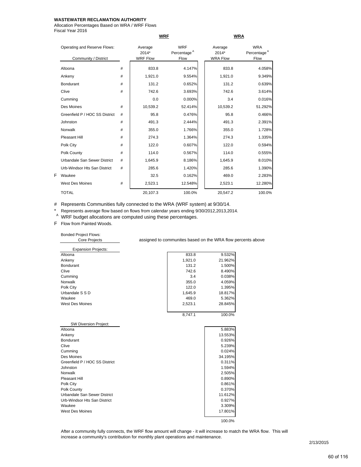Allocation Percentages Based on WRA / WRF Flows Fiscal Year 2016

| Operating and Reserve Flows:<br>Community / District |   | Average<br>$2014*$<br><b>WRF Flow</b> | <b>WRF</b><br>Percentage <sup>A</sup><br>Flow | Average<br>$2014*$<br><b>WRA Flow</b> | <b>WRA</b><br>Percentage <sup>A</sup><br>Flow |
|------------------------------------------------------|---|---------------------------------------|-----------------------------------------------|---------------------------------------|-----------------------------------------------|
| Altoona                                              | # | 833.8                                 | 4.147%                                        | 833.8                                 | 4.058%                                        |
| Ankeny                                               | # | 1,921.0                               | 9.554%                                        | 1,921.0                               | 9.349%                                        |
| <b>Bondurant</b>                                     | # | 131.2                                 | 0.652%                                        | 131.2                                 | 0.639%                                        |
| Clive                                                | # | 742.6                                 | 3.693%                                        | 742.6                                 | 3.614%                                        |
| Cumming                                              |   | 0.0                                   | 0.000%                                        | 3.4                                   | 0.016%                                        |
| Des Moines                                           | # | 10,539.2                              | 52.414%                                       | 10,539.2                              | 51.292%                                       |
| Greenfield P / HOC SS District                       | # | 95.8                                  | 0.476%                                        | 95.8                                  | 0.466%                                        |
| Johnston                                             | # | 491.3                                 | 2.444%                                        | 491.3                                 | 2.391%                                        |
| Norwalk                                              | # | 355.0                                 | 1.766%                                        | 355.0                                 | 1.728%                                        |
| Pleasant Hill                                        | # | 274.3                                 | 1.364%                                        | 274.3                                 | 1.335%                                        |
| Polk City                                            | # | 122.0                                 | 0.607%                                        | 122.0                                 | 0.594%                                        |
| Polk County                                          | # | 114.0                                 | 0.567%                                        | 114.0                                 | 0.555%                                        |
| Urbandale San Sewer District                         | # | 1,645.9                               | 8.186%                                        | 1,645.9                               | 8.010%                                        |
| Urb-Windsor Hts San District                         | # | 285.6                                 | 1.420%                                        | 285.6                                 | 1.390%                                        |
| Waukee                                               |   | 32.5                                  | 0.162%                                        | 469.0                                 | 2.283%                                        |
| <b>West Des Moines</b>                               | # | 2,523.1                               | 12.548%                                       | 2,523.1                               | 12.280%                                       |
| <b>TOTAL</b>                                         |   | 20,107.3                              | 100.0%                                        | 20,547.2                              | 100.0%                                        |

**WRF WRA**

# Represents Communities fully connected to the WRA (WRF system) at 9/30/14.

\* Represents average flow based on flows from calendar years ending 9/30/2012,2013,2014.<br>A WRF budget allocations are computed using these percentages.

F Flow from Painted Woods.

Bonded Project Flows:

| <b>Core Projects</b>       | assigned to communites based on the WRA flow percents above |         |  |  |  |  |
|----------------------------|-------------------------------------------------------------|---------|--|--|--|--|
| <b>Expansion Projects:</b> |                                                             |         |  |  |  |  |
| Altoona                    | 833.8                                                       | 9.532%  |  |  |  |  |
| Ankeny                     | 1,921.0                                                     | 21.962% |  |  |  |  |
| <b>Bondurant</b>           | 131.2                                                       | 1.500%  |  |  |  |  |
| Clive                      | 742.6                                                       | 8.490%  |  |  |  |  |
| Cumming                    | 3.4                                                         | 0.038%  |  |  |  |  |
| <b>Norwalk</b>             | 355.0                                                       | 4.059%  |  |  |  |  |
| Polk City                  | 122.0                                                       | 1.395%  |  |  |  |  |
| Urbandale S S D            | 1,645.9                                                     | 18.817% |  |  |  |  |
| Waukee                     | 469.0                                                       | 5.362%  |  |  |  |  |
| <b>West Des Moines</b>     | 2,523.1                                                     | 28.845% |  |  |  |  |
|                            | 8.747.1                                                     | 100.0%  |  |  |  |  |

| <b>SW Diversion Project:</b>   |         |
|--------------------------------|---------|
| Altoona                        | 5.883%  |
| Ankeny                         | 13.553% |
| <b>Bondurant</b>               | 0.926%  |
| Clive                          | 5.239%  |
| Cumming                        | 0.024%  |
| Des Moines                     | 34.195% |
| Greenfield P / HOC SS District | 0.311%  |
| Johnston                       | 1.594%  |
| <b>Norwalk</b>                 | 2.505%  |
| Pleasant Hill                  | 0.890%  |
| Polk City                      | 0.861%  |
| Polk County                    | 0.370%  |
| Urbandale San Sewer District   | 11.612% |
| Urb-Windsor Hts San District   | 0.927%  |
| Waukee                         | 3.309%  |
| <b>West Des Moines</b>         | 17.801% |
|                                | 100.0%  |

After a community fully connects, the WRF flow amount will change - it will increase to match the WRA flow. This will increase a community's contribution for monthly plant operations and maintenance.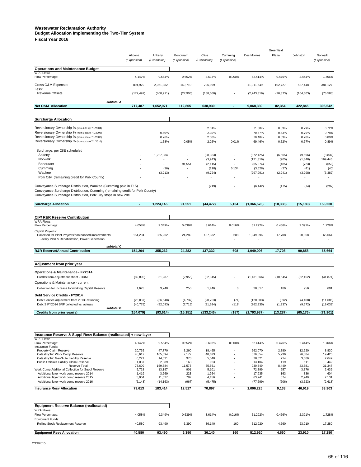#### **Wastewater Reclamation Authority Budget Allocation Implementing the Two-Tier System**

**Fiscal Year 2016**

|                                                                                                    |                        |                       |                          |                      |                          |                         | Greenfield     |                   |                        |
|----------------------------------------------------------------------------------------------------|------------------------|-----------------------|--------------------------|----------------------|--------------------------|-------------------------|----------------|-------------------|------------------------|
|                                                                                                    | Altoona<br>(Expansion) | Ankeny<br>(Expansion) | Bondurant<br>(Expansion) | Clive<br>(Expansion) | Cumming<br>(Expansion)   | Des Moines              | Plaza          | Johnston          | Norwalk<br>(Expansion) |
| <b>Operations and Maintenance Budget</b>                                                           |                        |                       |                          |                      |                          |                         |                |                   |                        |
| <b>WRF Flows</b>                                                                                   |                        |                       |                          |                      |                          |                         |                |                   |                        |
| Flow Percentage:                                                                                   | 4.147%                 | 9.554%                | 0.652%                   | 3.693%               | 0.000%                   | 52.414%                 | 0.476%         | 2.444%            | 1.766%                 |
| Gross O&M Expenses                                                                                 | 894,979                | 2,061,882             | 140,710                  | 796,999              |                          | 11,311,649              | 102,727        | 527,448           | 381,127                |
| Less:<br><b>Revenue Offsets</b>                                                                    | (177, 492)             | (408, 911)            | (27,906)                 | (158,060)            |                          | (2, 243, 319)           | (20, 373)      | (104, 603)        | (75, 585)              |
|                                                                                                    |                        |                       |                          |                      |                          |                         |                |                   |                        |
| subtotal A<br><b>Net O&amp;M Allocation</b>                                                        | 717,487                | 1,652,971             | 112,805                  | 638,939              | $\blacksquare$           | 9,068,330               | 82,354         | 422,845           | 305,542                |
|                                                                                                    |                        |                       |                          |                      |                          |                         |                |                   |                        |
| <b>Surcharge Allocation</b>                                                                        |                        |                       |                          |                      |                          |                         |                |                   |                        |
| Reversionary Ownership % (from 28E @ 7/1/2004)                                                     |                        |                       |                          | 2.31%                |                          | 71.08%                  | 0.53%          | 0.79%             | 0.72%                  |
| Reversionary Ownership % (from update 7/1/2006)<br>Reversionary Ownership % (from update 7/1/2007) |                        | 0.50%                 |                          | 2.30%                |                          | 70.67%                  | 0.53%          | 0.79%             | 0.78%                  |
| Reversionary Ownership % (from update 7/1/2010)                                                    |                        | 0.76%<br>1.58%        | 0.05%                    | 2.30%<br>2.26%       | 0.01%                    | 70.48%<br>69.46%        | 0.53%<br>0.52% | 0.78%<br>0.77%    | 0.80%<br>0.89%         |
|                                                                                                    |                        |                       |                          |                      |                          |                         |                |                   |                        |
| Surcharge, per 28E scheduled                                                                       |                        |                       |                          |                      |                          |                         |                |                   |                        |
| Ankeny<br>Norwalk                                                                                  |                        | 1,227,384             |                          | (28, 353)            |                          | (872, 425)              | (6, 505)       | (9,696)           | (8, 837)               |
| Bondurant                                                                                          |                        | ٠                     | 91,551                   | (3,943)<br>(2, 115)  | ٠                        | (121, 316)<br>(65, 074) | (905)<br>(485) | (1, 348)<br>(723) | 169,446<br>(659)       |
| Cumming                                                                                            |                        | (26)                  | ÷.                       | (118)                | 5,134                    | (3,628)                 | (27)           | (41)              | (40)                   |
| Waukee                                                                                             |                        | (3, 213)              |                          | (9, 724)             |                          | (297, 991)              | (2, 241)       | (3,298)           | (3, 382)               |
| Polk City (remaining credit for Polk County)                                                       |                        |                       |                          |                      |                          |                         |                |                   |                        |
| Conveyance Surcharge Distribution, Waukee (Cumming paid in F15)                                    |                        |                       |                          | (219)                |                          | (6, 142)                | (175)          | (74)              | (297)                  |
| Conveyance Surcharge Distribution, Cumming (remaining credit for Polk County)                      |                        |                       |                          |                      |                          |                         |                |                   |                        |
| Conveyance Surcharge Distribution, Polk City stops in new 28e                                      |                        |                       |                          |                      |                          |                         |                |                   |                        |
| <b>Surcharge Allocation</b>                                                                        | $\blacksquare$         | 1,224,145             | 91,551                   | (44, 472)            | 5,134                    | (1, 366, 576)           | (10, 338)      | (15, 180)         | 156,230                |
|                                                                                                    |                        |                       |                          |                      |                          |                         |                |                   |                        |
| <b>CIP/ R&amp;R Reserve Contribution</b>                                                           |                        |                       |                          |                      |                          |                         |                |                   |                        |
| <b>WRA Flows</b>                                                                                   |                        |                       |                          |                      |                          |                         |                |                   |                        |
| Flow Percentage:                                                                                   | 4.058%                 | 9.349%                | 0.639%                   | 3.614%               | 0.016%                   | 51.292%                 | 0.466%         | 2.391%            | 1.728%                 |
| Capital Projects:<br>Collected for Plant Projects/non bonded improvements                          | 154,204                | 355,262               | 24,282                   | 137,332              | 608                      | 1,949,096               | 17,708         | 90,858            | 65,664                 |
| Facility Plan & Rehabititation, Power Generation                                                   |                        |                       |                          |                      | ٠                        |                         |                |                   |                        |
| subtotal C                                                                                         |                        |                       |                          |                      |                          |                         |                |                   |                        |
| <b>R&amp;R Reserve/Annual Contribution</b>                                                         | 154,204                | 355,262               | 24,282                   | 137,332              | 608                      | 1,949,096               | 17,708         | 90,858            | 65,664                 |
|                                                                                                    |                        |                       |                          |                      |                          |                         |                |                   |                        |
| Adjustment from prior year                                                                         |                        |                       |                          |                      |                          |                         |                |                   |                        |
| Operations & Maintenance - FY2014                                                                  |                        |                       |                          |                      |                          |                         |                |                   |                        |
| Credits from Adjustment sheet - O&M                                                                | (89, 890)              | 51,287                | (2,955)                  | (82, 315)            | ٠                        | (1,431,366)             | (10, 645)      | (52, 152)         | (41, 874)              |
| Operations & Maintenance - current                                                                 |                        |                       |                          |                      |                          |                         |                |                   |                        |
| Collection for Increase to Working Capital Reserve                                                 | 1,623                  | 3,740                 | 256                      | 1,446                | 6                        | 20,517                  | 186            | 956               | 691                    |
| Debt Service Credits - FY2014                                                                      |                        |                       |                          |                      |                          |                         |                |                   |                        |
| Debt Service adjustment from 2013 Refunding                                                        | (25, 037)              | (56, 548)             | (4,737)                  | (20, 753)            | (74)                     | (120, 803)              | (892)          | (4, 408)          | (11,686)               |
| Debt S FY2014 SRF collected vs. actuals<br>subtotal D                                              | (40, 775)              | (92, 093)             | (7, 715)                 | (31, 624)            | (119)                    | (262, 335)              | (1, 937)       | (9, 572)          | (19,033)               |
| Credits from prior year(s)                                                                         | (154, 079)             | (93, 614)             | (15, 151)                | (133, 246)           | (187)                    | (1,793,987)             | (13, 287)      | (65, 176)         | (71, 901)              |
|                                                                                                    |                        |                       |                          |                      |                          |                         |                |                   |                        |
|                                                                                                    |                        |                       |                          |                      |                          |                         |                |                   |                        |
| Insurance Reserve & Suppl Resv Balance (reallocated) + new layer                                   |                        |                       |                          |                      |                          |                         |                |                   |                        |
| <b>WRF Flows</b><br>Flow Percentage:                                                               | 4.147%                 | 9.554%                | 0.652%                   | 3.693%               | 0.000%                   | 52.414%                 | 0.476%         | 2.444%            | 1.766%                 |
| Insurance Funds:                                                                                   |                        |                       |                          |                      |                          |                         |                |                   |                        |
| Property Claim Reserve                                                                             | 20,735                 | 47,770                | 3,260                    | 18,465               |                          | 262,070                 | 2,380          | 12,220            | 8,830                  |
| Catastrophic Work Comp Reserve<br>Catastrophic Gen/Auto Liability Reserve                          | 45,617<br>6,221        | 105,094<br>14,331     | 7,172<br>978             | 40,623<br>5,540      |                          | 576,554<br>78,621       | 5,236<br>714   | 26,884<br>3,666   | 19,426<br>2,649        |
| Public Officials Liability Claim Reserve                                                           | 1,037                  | 2,389                 | 163                      | 923                  |                          | 13,104                  | 119            | 611               | 442                    |
| Reserve Total                                                                                      | 73,609                 | 169,584               | 11,573                   | 65,551               | $\overline{\phantom{a}}$ | 930,349                 | 8,449          | 43,381            | 31,347                 |
| Work Comp Additional Collection for Suppl Reserve<br>Additional layer work comp reserve 2014       | 5,728<br>1,419         | 13,197<br>3,269       | 901<br>223               | 5,101<br>1,264       |                          | 72,399<br>17,935        | 657<br>163     | 3,376<br>836      | 2,439<br>604           |
| Additional layer work comp reserve 2015                                                            | 5,004                  | 11,527                | 787                      | 4,456                |                          | 63,241                  | 574            | 2,949             | 2,131                  |
| Additional layer work comp reserve 2016                                                            | (6, 148)               | (14, 163)             | (967)                    | (5, 475)             |                          | (77, 699)               | (706)          | (3,623)           | (2,618)                |
| <b>Insurance Resv Allocation</b>                                                                   | 79,613                 | 183,414               | 12,517                   | 70,897               | $\overline{\phantom{a}}$ | 1,006,225               | 9,138          | 46,919            | 33,903                 |
|                                                                                                    |                        |                       |                          |                      |                          |                         |                |                   |                        |
|                                                                                                    |                        |                       |                          |                      |                          |                         |                |                   |                        |
| <b>Equipment Reserve Balance (reallocated)</b><br><b>WRA Flows:</b>                                |                        |                       |                          |                      |                          |                         |                |                   |                        |
| Flow Percentage:                                                                                   | 4.058%                 | 9.349%                | 0.639%                   | 3.614%               | 0.016%                   | 51.292%                 | 0.466%         | 2.391%            | 1.728%                 |
| <b>Equipment Funds:</b>                                                                            |                        |                       |                          |                      |                          |                         |                |                   |                        |
| Rolling Stock Replacement Reserve                                                                  | 40,580                 | 93,490                | 6,390                    | 36,140               | 160                      | 512,920                 | 4,660          | 23,910            | 17,280                 |

**Equipment Resv Allocation 40,580 93,490 6,390 36,140 160 512,920 4,660 23,910 17,280**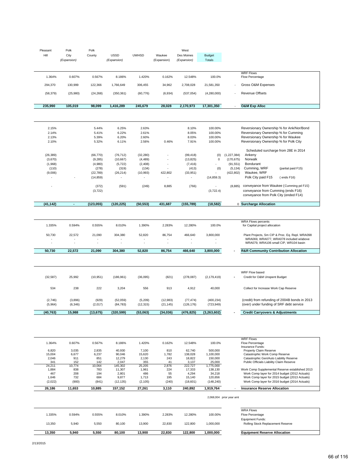| Hill<br><b>USSD</b><br><b>UWHSD</b><br>City<br>Des Moines<br>County<br>Waukee<br><b>Budget</b><br>(Expansion)<br><b>Totals</b><br>(Expansion)<br>(Expansion)<br>(Expansion)<br><b>WRF Flows</b><br>1.364%<br>0.607%<br>0.567%<br>8.186%<br>1.420%<br>0.162%<br>12.548%<br>100.0%<br>Flow Percentage<br>294,370<br>130,999<br>122,366<br>1,766,649<br>306,455<br>34,962<br>2,708,028<br>21,581,350<br>Gross O&M Expenses<br>(58, 379)<br>(537, 054)<br><b>Revenue Offsets</b><br>(25,980)<br>(24, 268)<br>(350, 361)<br>(60, 776)<br>(6,934)<br>(4,280,000)<br>235,990<br>105,019<br>98,099<br>1,416,289<br>245,679<br>28,028<br>2,170,973<br>17,301,350<br><b>O&amp;M Exp Alloc</b><br>2.15%<br>5.44%<br>6.25%<br>2.63%<br>8.10%<br>100.00%<br>Reversionary Ownership % for Ank/Nor/Bond<br>2.14%<br>5.41%<br>6.22%<br>2.61%<br>8.05%<br>100.00%<br>Reversionary Ownership % for Cumming<br>Reversionary Ownership % for Waukee<br>2.13%<br>5.39%<br>6.20%<br>2.60%<br>8.03%<br>100.00%<br>Reversionary Ownership % for Polk City<br>2.10%<br>5.32%<br>6.11%<br>2.56%<br>0.46%<br>7.91%<br>100.00%<br>Scheduled surcharge from 28E in 2014<br>(26, 389)<br>(66, 770)<br>(76, 712)<br>(32, 280)<br>(99, 418)<br>(0)<br>(1, 227, 384)<br>Ankeny<br>(3,670)<br>(9, 285)<br>(10, 667)<br>(4, 489)<br>(13, 825)<br>0<br>(170, 675)<br>Norwalk<br>Bondurant<br>(1,968)<br>(4,980)<br>(2, 408)<br>(91, 551)<br>(5, 722)<br>(7, 416)<br>(278)<br>(134)<br>(0)<br>Cumming, WRF<br>(partial paid F15)<br>(110)<br>(319)<br>(413)<br>(5, 134)<br>(9,006)<br>(10, 993)<br>422,802<br>(422, 802)<br>Waukee, WRF<br>(22, 789)<br>(26, 214)<br>(33, 951)<br>Polk City paid F15<br>(14, 859)<br>(14, 859.3)<br>( ends F16)<br>conveyance from Waukee (Cumming pd F15)<br>(372)<br>(591)<br>(249)<br>8,885<br>(766)<br>(8,885)<br>conveyance from Cumming (ends F16)<br>(3, 722)<br>(3,722.4)<br>conveyance from Polk City (ended F14)<br>(123, 055)<br>(120, 225)<br>431,687<br>(155, 789)<br>(18, 582)<br>0 Surcharge Allocation<br>(41, 142)<br>$\blacksquare$<br>(50, 553)<br><b>WRA Flows percents</b><br>8.010%<br>1.335%<br>0.594%<br>0.555%<br>1.390%<br>2.283%<br>12.280%<br>100.0%<br>for Capital project allocation<br>22,572<br>21,090<br>466,640<br>3,800,000<br>Plant Projects, Sm CIP & Proc. Eq. Repl. WRA098<br>50,730<br>304,380<br>52,820<br>86,754<br>WRA069, WRA077, WRA078 included w/above<br>WRA079, WRA106 small CIP, WR104 basin<br>50,730<br>22,572<br>21,090<br>304,380<br>52,820<br>86,754<br>466,640<br>3,800,000<br><b>R&amp;R Community Contribution Allocation</b><br>$\overline{a}$<br>WRF Flow based<br>(32, 587)<br>25,992<br>(10, 951)<br>(821)<br>(278, 087)<br>Credit for O&M Unspent Budget<br>(186, 961)<br>(36,095)<br>(2, 179, 419)<br>238<br>222<br>3,204<br>Collect for Increase Work Cap Reserve<br>534<br>556<br>913<br>4,912<br>40,000<br>(credit) from refunding of 2004B bonds in 2013<br>(2,746)<br>(3,896)<br>(929)<br>(52,059)<br>(5, 209)<br>(12,983)<br>(77, 474)<br>(400, 234)<br>(over) under funding of SRF debt service<br>(5,964)<br>(6, 346)<br>(2,017)<br>(84, 783)<br>(12, 315)<br>(21, 145)<br>(126, 176)<br>(723, 949)<br>(3, 263, 602)<br><b>Credit Carryovers &amp; Adjustments</b><br>15,988<br>(34, 036)<br>(40,763)<br>(13,675)<br>(320,599)<br>(53,063)<br>(476, 825)<br><b>WRF Flows</b><br>1.364%<br>0.607%<br>0.567%<br>8.186%<br>1.420%<br>0.162%<br>12.548%<br>100.0%<br>Flow Percentage<br>Insurance Funds:<br>2,835<br>810<br>6,820<br>3,035<br>40,930<br>7,100<br>62,740<br>500,000<br>Property Claim Reserve<br>15,004<br>6,677<br>6,237<br>90,046<br>15,620<br>1,782<br>138,028<br>1,100,000<br>Catastrophic Work Comp Reserve<br>2,046<br>911<br>851<br>12,279<br>2,130<br>243<br>18,822<br>150,000<br>Catastrophic Gen/Auto Liability Reserve<br>2,047<br>Public Officials Liability Claim Reserve<br>341<br>152<br>142<br>355<br>41<br>3,137<br>25,000<br>10,774<br>10,064<br>2,876<br>24,211<br>145,302<br>25,205<br>222,727<br>1,775,000<br>1,884<br>838<br>783<br>11,307<br>1,961<br>224<br>17,333<br>138.130<br>Work Comp Supplemental Reserve established 2013<br>4,294<br>Work Comp layer for 2014 budget (2012 Actuals)<br>467<br>208<br>194<br>2,801<br>486<br>55<br>34,218<br>Work Comp layer for 2015 budget (2013 Actuals)<br>732<br>684<br>9,877<br>1,713<br>195<br>15,140<br>120,656<br>1,646<br>(900)<br>Work Comp layer for 2016 budget (2014 Actuals)<br>(2,022)<br>(841)<br>(12, 135)<br>(2, 105)<br>(240)<br>(18,601)<br>(148, 240)<br>1,919,764<br>26,186<br>11,653<br>10,885<br>157,152<br>27,261<br>3,110<br>240,892<br><b>Insurance Reserve Allocation</b><br>2,068,004 prior year amt<br><b>WRA Flows</b><br>1.335%<br>0.594%<br>0.555%<br>8.010%<br>1.390%<br>2.283%<br>12.280%<br>100.00%<br>Flow Percentage<br>Equipment Funds:<br>13,350<br>5,940<br>5,550<br>80,100<br>13,900<br>22,830<br>122,800<br>1,000,000<br>Rolling Stock Replacement Reserve<br>13,350<br>5,940<br>5,550<br>80,100<br>13,900<br>22,830<br>122,800<br>1,000,000<br><b>Equipment Reserve Allocation</b> | Pleasant | Polk | Polk |  | West |  |  |
|------------------------------------------------------------------------------------------------------------------------------------------------------------------------------------------------------------------------------------------------------------------------------------------------------------------------------------------------------------------------------------------------------------------------------------------------------------------------------------------------------------------------------------------------------------------------------------------------------------------------------------------------------------------------------------------------------------------------------------------------------------------------------------------------------------------------------------------------------------------------------------------------------------------------------------------------------------------------------------------------------------------------------------------------------------------------------------------------------------------------------------------------------------------------------------------------------------------------------------------------------------------------------------------------------------------------------------------------------------------------------------------------------------------------------------------------------------------------------------------------------------------------------------------------------------------------------------------------------------------------------------------------------------------------------------------------------------------------------------------------------------------------------------------------------------------------------------------------------------------------------------------------------------------------------------------------------------------------------------------------------------------------------------------------------------------------------------------------------------------------------------------------------------------------------------------------------------------------------------------------------------------------------------------------------------------------------------------------------------------------------------------------------------------------------------------------------------------------------------------------------------------------------------------------------------------------------------------------------------------------------------------------------------------------------------------------------------------------------------------------------------------------------------------------------------------------------------------------------------------------------------------------------------------------------------------------------------------------------------------------------------------------------------------------------------------------------------------------------------------------------------------------------------------------------------------------------------------------------------------------------------------------------------------------------------------------------------------------------------------------------------------------------------------------------------------------------------------------------------------------------------------------------------------------------------------------------------------------------------------------------------------------------------------------------------------------------------------------------------------------------------------------------------------------------------------------------------------------------------------------------------------------------------------------------------------------------------------------------------------------------------------------------------------------------------------------------------------------------------------------------------------------------------------------------------------------------------------------------------------------------------------------------------------------------------------------------------------------------------------------------------------------------------------------------------------------------------------------------------------------------------------------------------------------------------------------------------------------------------------------------------------------------------------------------------------------------------------------------------------------------------------------------------------------------------------------------------------------------------------------------------------------------------------------------------------------------------------------------------------------------------------------------------------------------------------------------|----------|------|------|--|------|--|--|
|                                                                                                                                                                                                                                                                                                                                                                                                                                                                                                                                                                                                                                                                                                                                                                                                                                                                                                                                                                                                                                                                                                                                                                                                                                                                                                                                                                                                                                                                                                                                                                                                                                                                                                                                                                                                                                                                                                                                                                                                                                                                                                                                                                                                                                                                                                                                                                                                                                                                                                                                                                                                                                                                                                                                                                                                                                                                                                                                                                                                                                                                                                                                                                                                                                                                                                                                                                                                                                                                                                                                                                                                                                                                                                                                                                                                                                                                                                                                                                                                                                                                                                                                                                                                                                                                                                                                                                                                                                                                                                                                                                                                                                                                                                                                                                                                                                                                                                                                                                                                                                                                              |          |      |      |  |      |  |  |
|                                                                                                                                                                                                                                                                                                                                                                                                                                                                                                                                                                                                                                                                                                                                                                                                                                                                                                                                                                                                                                                                                                                                                                                                                                                                                                                                                                                                                                                                                                                                                                                                                                                                                                                                                                                                                                                                                                                                                                                                                                                                                                                                                                                                                                                                                                                                                                                                                                                                                                                                                                                                                                                                                                                                                                                                                                                                                                                                                                                                                                                                                                                                                                                                                                                                                                                                                                                                                                                                                                                                                                                                                                                                                                                                                                                                                                                                                                                                                                                                                                                                                                                                                                                                                                                                                                                                                                                                                                                                                                                                                                                                                                                                                                                                                                                                                                                                                                                                                                                                                                                                              |          |      |      |  |      |  |  |
|                                                                                                                                                                                                                                                                                                                                                                                                                                                                                                                                                                                                                                                                                                                                                                                                                                                                                                                                                                                                                                                                                                                                                                                                                                                                                                                                                                                                                                                                                                                                                                                                                                                                                                                                                                                                                                                                                                                                                                                                                                                                                                                                                                                                                                                                                                                                                                                                                                                                                                                                                                                                                                                                                                                                                                                                                                                                                                                                                                                                                                                                                                                                                                                                                                                                                                                                                                                                                                                                                                                                                                                                                                                                                                                                                                                                                                                                                                                                                                                                                                                                                                                                                                                                                                                                                                                                                                                                                                                                                                                                                                                                                                                                                                                                                                                                                                                                                                                                                                                                                                                                              |          |      |      |  |      |  |  |
|                                                                                                                                                                                                                                                                                                                                                                                                                                                                                                                                                                                                                                                                                                                                                                                                                                                                                                                                                                                                                                                                                                                                                                                                                                                                                                                                                                                                                                                                                                                                                                                                                                                                                                                                                                                                                                                                                                                                                                                                                                                                                                                                                                                                                                                                                                                                                                                                                                                                                                                                                                                                                                                                                                                                                                                                                                                                                                                                                                                                                                                                                                                                                                                                                                                                                                                                                                                                                                                                                                                                                                                                                                                                                                                                                                                                                                                                                                                                                                                                                                                                                                                                                                                                                                                                                                                                                                                                                                                                                                                                                                                                                                                                                                                                                                                                                                                                                                                                                                                                                                                                              |          |      |      |  |      |  |  |
|                                                                                                                                                                                                                                                                                                                                                                                                                                                                                                                                                                                                                                                                                                                                                                                                                                                                                                                                                                                                                                                                                                                                                                                                                                                                                                                                                                                                                                                                                                                                                                                                                                                                                                                                                                                                                                                                                                                                                                                                                                                                                                                                                                                                                                                                                                                                                                                                                                                                                                                                                                                                                                                                                                                                                                                                                                                                                                                                                                                                                                                                                                                                                                                                                                                                                                                                                                                                                                                                                                                                                                                                                                                                                                                                                                                                                                                                                                                                                                                                                                                                                                                                                                                                                                                                                                                                                                                                                                                                                                                                                                                                                                                                                                                                                                                                                                                                                                                                                                                                                                                                              |          |      |      |  |      |  |  |
|                                                                                                                                                                                                                                                                                                                                                                                                                                                                                                                                                                                                                                                                                                                                                                                                                                                                                                                                                                                                                                                                                                                                                                                                                                                                                                                                                                                                                                                                                                                                                                                                                                                                                                                                                                                                                                                                                                                                                                                                                                                                                                                                                                                                                                                                                                                                                                                                                                                                                                                                                                                                                                                                                                                                                                                                                                                                                                                                                                                                                                                                                                                                                                                                                                                                                                                                                                                                                                                                                                                                                                                                                                                                                                                                                                                                                                                                                                                                                                                                                                                                                                                                                                                                                                                                                                                                                                                                                                                                                                                                                                                                                                                                                                                                                                                                                                                                                                                                                                                                                                                                              |          |      |      |  |      |  |  |
|                                                                                                                                                                                                                                                                                                                                                                                                                                                                                                                                                                                                                                                                                                                                                                                                                                                                                                                                                                                                                                                                                                                                                                                                                                                                                                                                                                                                                                                                                                                                                                                                                                                                                                                                                                                                                                                                                                                                                                                                                                                                                                                                                                                                                                                                                                                                                                                                                                                                                                                                                                                                                                                                                                                                                                                                                                                                                                                                                                                                                                                                                                                                                                                                                                                                                                                                                                                                                                                                                                                                                                                                                                                                                                                                                                                                                                                                                                                                                                                                                                                                                                                                                                                                                                                                                                                                                                                                                                                                                                                                                                                                                                                                                                                                                                                                                                                                                                                                                                                                                                                                              |          |      |      |  |      |  |  |
|                                                                                                                                                                                                                                                                                                                                                                                                                                                                                                                                                                                                                                                                                                                                                                                                                                                                                                                                                                                                                                                                                                                                                                                                                                                                                                                                                                                                                                                                                                                                                                                                                                                                                                                                                                                                                                                                                                                                                                                                                                                                                                                                                                                                                                                                                                                                                                                                                                                                                                                                                                                                                                                                                                                                                                                                                                                                                                                                                                                                                                                                                                                                                                                                                                                                                                                                                                                                                                                                                                                                                                                                                                                                                                                                                                                                                                                                                                                                                                                                                                                                                                                                                                                                                                                                                                                                                                                                                                                                                                                                                                                                                                                                                                                                                                                                                                                                                                                                                                                                                                                                              |          |      |      |  |      |  |  |
|                                                                                                                                                                                                                                                                                                                                                                                                                                                                                                                                                                                                                                                                                                                                                                                                                                                                                                                                                                                                                                                                                                                                                                                                                                                                                                                                                                                                                                                                                                                                                                                                                                                                                                                                                                                                                                                                                                                                                                                                                                                                                                                                                                                                                                                                                                                                                                                                                                                                                                                                                                                                                                                                                                                                                                                                                                                                                                                                                                                                                                                                                                                                                                                                                                                                                                                                                                                                                                                                                                                                                                                                                                                                                                                                                                                                                                                                                                                                                                                                                                                                                                                                                                                                                                                                                                                                                                                                                                                                                                                                                                                                                                                                                                                                                                                                                                                                                                                                                                                                                                                                              |          |      |      |  |      |  |  |
|                                                                                                                                                                                                                                                                                                                                                                                                                                                                                                                                                                                                                                                                                                                                                                                                                                                                                                                                                                                                                                                                                                                                                                                                                                                                                                                                                                                                                                                                                                                                                                                                                                                                                                                                                                                                                                                                                                                                                                                                                                                                                                                                                                                                                                                                                                                                                                                                                                                                                                                                                                                                                                                                                                                                                                                                                                                                                                                                                                                                                                                                                                                                                                                                                                                                                                                                                                                                                                                                                                                                                                                                                                                                                                                                                                                                                                                                                                                                                                                                                                                                                                                                                                                                                                                                                                                                                                                                                                                                                                                                                                                                                                                                                                                                                                                                                                                                                                                                                                                                                                                                              |          |      |      |  |      |  |  |
|                                                                                                                                                                                                                                                                                                                                                                                                                                                                                                                                                                                                                                                                                                                                                                                                                                                                                                                                                                                                                                                                                                                                                                                                                                                                                                                                                                                                                                                                                                                                                                                                                                                                                                                                                                                                                                                                                                                                                                                                                                                                                                                                                                                                                                                                                                                                                                                                                                                                                                                                                                                                                                                                                                                                                                                                                                                                                                                                                                                                                                                                                                                                                                                                                                                                                                                                                                                                                                                                                                                                                                                                                                                                                                                                                                                                                                                                                                                                                                                                                                                                                                                                                                                                                                                                                                                                                                                                                                                                                                                                                                                                                                                                                                                                                                                                                                                                                                                                                                                                                                                                              |          |      |      |  |      |  |  |
|                                                                                                                                                                                                                                                                                                                                                                                                                                                                                                                                                                                                                                                                                                                                                                                                                                                                                                                                                                                                                                                                                                                                                                                                                                                                                                                                                                                                                                                                                                                                                                                                                                                                                                                                                                                                                                                                                                                                                                                                                                                                                                                                                                                                                                                                                                                                                                                                                                                                                                                                                                                                                                                                                                                                                                                                                                                                                                                                                                                                                                                                                                                                                                                                                                                                                                                                                                                                                                                                                                                                                                                                                                                                                                                                                                                                                                                                                                                                                                                                                                                                                                                                                                                                                                                                                                                                                                                                                                                                                                                                                                                                                                                                                                                                                                                                                                                                                                                                                                                                                                                                              |          |      |      |  |      |  |  |
|                                                                                                                                                                                                                                                                                                                                                                                                                                                                                                                                                                                                                                                                                                                                                                                                                                                                                                                                                                                                                                                                                                                                                                                                                                                                                                                                                                                                                                                                                                                                                                                                                                                                                                                                                                                                                                                                                                                                                                                                                                                                                                                                                                                                                                                                                                                                                                                                                                                                                                                                                                                                                                                                                                                                                                                                                                                                                                                                                                                                                                                                                                                                                                                                                                                                                                                                                                                                                                                                                                                                                                                                                                                                                                                                                                                                                                                                                                                                                                                                                                                                                                                                                                                                                                                                                                                                                                                                                                                                                                                                                                                                                                                                                                                                                                                                                                                                                                                                                                                                                                                                              |          |      |      |  |      |  |  |
|                                                                                                                                                                                                                                                                                                                                                                                                                                                                                                                                                                                                                                                                                                                                                                                                                                                                                                                                                                                                                                                                                                                                                                                                                                                                                                                                                                                                                                                                                                                                                                                                                                                                                                                                                                                                                                                                                                                                                                                                                                                                                                                                                                                                                                                                                                                                                                                                                                                                                                                                                                                                                                                                                                                                                                                                                                                                                                                                                                                                                                                                                                                                                                                                                                                                                                                                                                                                                                                                                                                                                                                                                                                                                                                                                                                                                                                                                                                                                                                                                                                                                                                                                                                                                                                                                                                                                                                                                                                                                                                                                                                                                                                                                                                                                                                                                                                                                                                                                                                                                                                                              |          |      |      |  |      |  |  |
|                                                                                                                                                                                                                                                                                                                                                                                                                                                                                                                                                                                                                                                                                                                                                                                                                                                                                                                                                                                                                                                                                                                                                                                                                                                                                                                                                                                                                                                                                                                                                                                                                                                                                                                                                                                                                                                                                                                                                                                                                                                                                                                                                                                                                                                                                                                                                                                                                                                                                                                                                                                                                                                                                                                                                                                                                                                                                                                                                                                                                                                                                                                                                                                                                                                                                                                                                                                                                                                                                                                                                                                                                                                                                                                                                                                                                                                                                                                                                                                                                                                                                                                                                                                                                                                                                                                                                                                                                                                                                                                                                                                                                                                                                                                                                                                                                                                                                                                                                                                                                                                                              |          |      |      |  |      |  |  |
|                                                                                                                                                                                                                                                                                                                                                                                                                                                                                                                                                                                                                                                                                                                                                                                                                                                                                                                                                                                                                                                                                                                                                                                                                                                                                                                                                                                                                                                                                                                                                                                                                                                                                                                                                                                                                                                                                                                                                                                                                                                                                                                                                                                                                                                                                                                                                                                                                                                                                                                                                                                                                                                                                                                                                                                                                                                                                                                                                                                                                                                                                                                                                                                                                                                                                                                                                                                                                                                                                                                                                                                                                                                                                                                                                                                                                                                                                                                                                                                                                                                                                                                                                                                                                                                                                                                                                                                                                                                                                                                                                                                                                                                                                                                                                                                                                                                                                                                                                                                                                                                                              |          |      |      |  |      |  |  |
|                                                                                                                                                                                                                                                                                                                                                                                                                                                                                                                                                                                                                                                                                                                                                                                                                                                                                                                                                                                                                                                                                                                                                                                                                                                                                                                                                                                                                                                                                                                                                                                                                                                                                                                                                                                                                                                                                                                                                                                                                                                                                                                                                                                                                                                                                                                                                                                                                                                                                                                                                                                                                                                                                                                                                                                                                                                                                                                                                                                                                                                                                                                                                                                                                                                                                                                                                                                                                                                                                                                                                                                                                                                                                                                                                                                                                                                                                                                                                                                                                                                                                                                                                                                                                                                                                                                                                                                                                                                                                                                                                                                                                                                                                                                                                                                                                                                                                                                                                                                                                                                                              |          |      |      |  |      |  |  |
|                                                                                                                                                                                                                                                                                                                                                                                                                                                                                                                                                                                                                                                                                                                                                                                                                                                                                                                                                                                                                                                                                                                                                                                                                                                                                                                                                                                                                                                                                                                                                                                                                                                                                                                                                                                                                                                                                                                                                                                                                                                                                                                                                                                                                                                                                                                                                                                                                                                                                                                                                                                                                                                                                                                                                                                                                                                                                                                                                                                                                                                                                                                                                                                                                                                                                                                                                                                                                                                                                                                                                                                                                                                                                                                                                                                                                                                                                                                                                                                                                                                                                                                                                                                                                                                                                                                                                                                                                                                                                                                                                                                                                                                                                                                                                                                                                                                                                                                                                                                                                                                                              |          |      |      |  |      |  |  |
|                                                                                                                                                                                                                                                                                                                                                                                                                                                                                                                                                                                                                                                                                                                                                                                                                                                                                                                                                                                                                                                                                                                                                                                                                                                                                                                                                                                                                                                                                                                                                                                                                                                                                                                                                                                                                                                                                                                                                                                                                                                                                                                                                                                                                                                                                                                                                                                                                                                                                                                                                                                                                                                                                                                                                                                                                                                                                                                                                                                                                                                                                                                                                                                                                                                                                                                                                                                                                                                                                                                                                                                                                                                                                                                                                                                                                                                                                                                                                                                                                                                                                                                                                                                                                                                                                                                                                                                                                                                                                                                                                                                                                                                                                                                                                                                                                                                                                                                                                                                                                                                                              |          |      |      |  |      |  |  |
|                                                                                                                                                                                                                                                                                                                                                                                                                                                                                                                                                                                                                                                                                                                                                                                                                                                                                                                                                                                                                                                                                                                                                                                                                                                                                                                                                                                                                                                                                                                                                                                                                                                                                                                                                                                                                                                                                                                                                                                                                                                                                                                                                                                                                                                                                                                                                                                                                                                                                                                                                                                                                                                                                                                                                                                                                                                                                                                                                                                                                                                                                                                                                                                                                                                                                                                                                                                                                                                                                                                                                                                                                                                                                                                                                                                                                                                                                                                                                                                                                                                                                                                                                                                                                                                                                                                                                                                                                                                                                                                                                                                                                                                                                                                                                                                                                                                                                                                                                                                                                                                                              |          |      |      |  |      |  |  |
|                                                                                                                                                                                                                                                                                                                                                                                                                                                                                                                                                                                                                                                                                                                                                                                                                                                                                                                                                                                                                                                                                                                                                                                                                                                                                                                                                                                                                                                                                                                                                                                                                                                                                                                                                                                                                                                                                                                                                                                                                                                                                                                                                                                                                                                                                                                                                                                                                                                                                                                                                                                                                                                                                                                                                                                                                                                                                                                                                                                                                                                                                                                                                                                                                                                                                                                                                                                                                                                                                                                                                                                                                                                                                                                                                                                                                                                                                                                                                                                                                                                                                                                                                                                                                                                                                                                                                                                                                                                                                                                                                                                                                                                                                                                                                                                                                                                                                                                                                                                                                                                                              |          |      |      |  |      |  |  |
|                                                                                                                                                                                                                                                                                                                                                                                                                                                                                                                                                                                                                                                                                                                                                                                                                                                                                                                                                                                                                                                                                                                                                                                                                                                                                                                                                                                                                                                                                                                                                                                                                                                                                                                                                                                                                                                                                                                                                                                                                                                                                                                                                                                                                                                                                                                                                                                                                                                                                                                                                                                                                                                                                                                                                                                                                                                                                                                                                                                                                                                                                                                                                                                                                                                                                                                                                                                                                                                                                                                                                                                                                                                                                                                                                                                                                                                                                                                                                                                                                                                                                                                                                                                                                                                                                                                                                                                                                                                                                                                                                                                                                                                                                                                                                                                                                                                                                                                                                                                                                                                                              |          |      |      |  |      |  |  |
|                                                                                                                                                                                                                                                                                                                                                                                                                                                                                                                                                                                                                                                                                                                                                                                                                                                                                                                                                                                                                                                                                                                                                                                                                                                                                                                                                                                                                                                                                                                                                                                                                                                                                                                                                                                                                                                                                                                                                                                                                                                                                                                                                                                                                                                                                                                                                                                                                                                                                                                                                                                                                                                                                                                                                                                                                                                                                                                                                                                                                                                                                                                                                                                                                                                                                                                                                                                                                                                                                                                                                                                                                                                                                                                                                                                                                                                                                                                                                                                                                                                                                                                                                                                                                                                                                                                                                                                                                                                                                                                                                                                                                                                                                                                                                                                                                                                                                                                                                                                                                                                                              |          |      |      |  |      |  |  |
|                                                                                                                                                                                                                                                                                                                                                                                                                                                                                                                                                                                                                                                                                                                                                                                                                                                                                                                                                                                                                                                                                                                                                                                                                                                                                                                                                                                                                                                                                                                                                                                                                                                                                                                                                                                                                                                                                                                                                                                                                                                                                                                                                                                                                                                                                                                                                                                                                                                                                                                                                                                                                                                                                                                                                                                                                                                                                                                                                                                                                                                                                                                                                                                                                                                                                                                                                                                                                                                                                                                                                                                                                                                                                                                                                                                                                                                                                                                                                                                                                                                                                                                                                                                                                                                                                                                                                                                                                                                                                                                                                                                                                                                                                                                                                                                                                                                                                                                                                                                                                                                                              |          |      |      |  |      |  |  |
|                                                                                                                                                                                                                                                                                                                                                                                                                                                                                                                                                                                                                                                                                                                                                                                                                                                                                                                                                                                                                                                                                                                                                                                                                                                                                                                                                                                                                                                                                                                                                                                                                                                                                                                                                                                                                                                                                                                                                                                                                                                                                                                                                                                                                                                                                                                                                                                                                                                                                                                                                                                                                                                                                                                                                                                                                                                                                                                                                                                                                                                                                                                                                                                                                                                                                                                                                                                                                                                                                                                                                                                                                                                                                                                                                                                                                                                                                                                                                                                                                                                                                                                                                                                                                                                                                                                                                                                                                                                                                                                                                                                                                                                                                                                                                                                                                                                                                                                                                                                                                                                                              |          |      |      |  |      |  |  |
|                                                                                                                                                                                                                                                                                                                                                                                                                                                                                                                                                                                                                                                                                                                                                                                                                                                                                                                                                                                                                                                                                                                                                                                                                                                                                                                                                                                                                                                                                                                                                                                                                                                                                                                                                                                                                                                                                                                                                                                                                                                                                                                                                                                                                                                                                                                                                                                                                                                                                                                                                                                                                                                                                                                                                                                                                                                                                                                                                                                                                                                                                                                                                                                                                                                                                                                                                                                                                                                                                                                                                                                                                                                                                                                                                                                                                                                                                                                                                                                                                                                                                                                                                                                                                                                                                                                                                                                                                                                                                                                                                                                                                                                                                                                                                                                                                                                                                                                                                                                                                                                                              |          |      |      |  |      |  |  |
|                                                                                                                                                                                                                                                                                                                                                                                                                                                                                                                                                                                                                                                                                                                                                                                                                                                                                                                                                                                                                                                                                                                                                                                                                                                                                                                                                                                                                                                                                                                                                                                                                                                                                                                                                                                                                                                                                                                                                                                                                                                                                                                                                                                                                                                                                                                                                                                                                                                                                                                                                                                                                                                                                                                                                                                                                                                                                                                                                                                                                                                                                                                                                                                                                                                                                                                                                                                                                                                                                                                                                                                                                                                                                                                                                                                                                                                                                                                                                                                                                                                                                                                                                                                                                                                                                                                                                                                                                                                                                                                                                                                                                                                                                                                                                                                                                                                                                                                                                                                                                                                                              |          |      |      |  |      |  |  |
|                                                                                                                                                                                                                                                                                                                                                                                                                                                                                                                                                                                                                                                                                                                                                                                                                                                                                                                                                                                                                                                                                                                                                                                                                                                                                                                                                                                                                                                                                                                                                                                                                                                                                                                                                                                                                                                                                                                                                                                                                                                                                                                                                                                                                                                                                                                                                                                                                                                                                                                                                                                                                                                                                                                                                                                                                                                                                                                                                                                                                                                                                                                                                                                                                                                                                                                                                                                                                                                                                                                                                                                                                                                                                                                                                                                                                                                                                                                                                                                                                                                                                                                                                                                                                                                                                                                                                                                                                                                                                                                                                                                                                                                                                                                                                                                                                                                                                                                                                                                                                                                                              |          |      |      |  |      |  |  |
|                                                                                                                                                                                                                                                                                                                                                                                                                                                                                                                                                                                                                                                                                                                                                                                                                                                                                                                                                                                                                                                                                                                                                                                                                                                                                                                                                                                                                                                                                                                                                                                                                                                                                                                                                                                                                                                                                                                                                                                                                                                                                                                                                                                                                                                                                                                                                                                                                                                                                                                                                                                                                                                                                                                                                                                                                                                                                                                                                                                                                                                                                                                                                                                                                                                                                                                                                                                                                                                                                                                                                                                                                                                                                                                                                                                                                                                                                                                                                                                                                                                                                                                                                                                                                                                                                                                                                                                                                                                                                                                                                                                                                                                                                                                                                                                                                                                                                                                                                                                                                                                                              |          |      |      |  |      |  |  |
|                                                                                                                                                                                                                                                                                                                                                                                                                                                                                                                                                                                                                                                                                                                                                                                                                                                                                                                                                                                                                                                                                                                                                                                                                                                                                                                                                                                                                                                                                                                                                                                                                                                                                                                                                                                                                                                                                                                                                                                                                                                                                                                                                                                                                                                                                                                                                                                                                                                                                                                                                                                                                                                                                                                                                                                                                                                                                                                                                                                                                                                                                                                                                                                                                                                                                                                                                                                                                                                                                                                                                                                                                                                                                                                                                                                                                                                                                                                                                                                                                                                                                                                                                                                                                                                                                                                                                                                                                                                                                                                                                                                                                                                                                                                                                                                                                                                                                                                                                                                                                                                                              |          |      |      |  |      |  |  |
|                                                                                                                                                                                                                                                                                                                                                                                                                                                                                                                                                                                                                                                                                                                                                                                                                                                                                                                                                                                                                                                                                                                                                                                                                                                                                                                                                                                                                                                                                                                                                                                                                                                                                                                                                                                                                                                                                                                                                                                                                                                                                                                                                                                                                                                                                                                                                                                                                                                                                                                                                                                                                                                                                                                                                                                                                                                                                                                                                                                                                                                                                                                                                                                                                                                                                                                                                                                                                                                                                                                                                                                                                                                                                                                                                                                                                                                                                                                                                                                                                                                                                                                                                                                                                                                                                                                                                                                                                                                                                                                                                                                                                                                                                                                                                                                                                                                                                                                                                                                                                                                                              |          |      |      |  |      |  |  |
|                                                                                                                                                                                                                                                                                                                                                                                                                                                                                                                                                                                                                                                                                                                                                                                                                                                                                                                                                                                                                                                                                                                                                                                                                                                                                                                                                                                                                                                                                                                                                                                                                                                                                                                                                                                                                                                                                                                                                                                                                                                                                                                                                                                                                                                                                                                                                                                                                                                                                                                                                                                                                                                                                                                                                                                                                                                                                                                                                                                                                                                                                                                                                                                                                                                                                                                                                                                                                                                                                                                                                                                                                                                                                                                                                                                                                                                                                                                                                                                                                                                                                                                                                                                                                                                                                                                                                                                                                                                                                                                                                                                                                                                                                                                                                                                                                                                                                                                                                                                                                                                                              |          |      |      |  |      |  |  |
|                                                                                                                                                                                                                                                                                                                                                                                                                                                                                                                                                                                                                                                                                                                                                                                                                                                                                                                                                                                                                                                                                                                                                                                                                                                                                                                                                                                                                                                                                                                                                                                                                                                                                                                                                                                                                                                                                                                                                                                                                                                                                                                                                                                                                                                                                                                                                                                                                                                                                                                                                                                                                                                                                                                                                                                                                                                                                                                                                                                                                                                                                                                                                                                                                                                                                                                                                                                                                                                                                                                                                                                                                                                                                                                                                                                                                                                                                                                                                                                                                                                                                                                                                                                                                                                                                                                                                                                                                                                                                                                                                                                                                                                                                                                                                                                                                                                                                                                                                                                                                                                                              |          |      |      |  |      |  |  |
|                                                                                                                                                                                                                                                                                                                                                                                                                                                                                                                                                                                                                                                                                                                                                                                                                                                                                                                                                                                                                                                                                                                                                                                                                                                                                                                                                                                                                                                                                                                                                                                                                                                                                                                                                                                                                                                                                                                                                                                                                                                                                                                                                                                                                                                                                                                                                                                                                                                                                                                                                                                                                                                                                                                                                                                                                                                                                                                                                                                                                                                                                                                                                                                                                                                                                                                                                                                                                                                                                                                                                                                                                                                                                                                                                                                                                                                                                                                                                                                                                                                                                                                                                                                                                                                                                                                                                                                                                                                                                                                                                                                                                                                                                                                                                                                                                                                                                                                                                                                                                                                                              |          |      |      |  |      |  |  |
|                                                                                                                                                                                                                                                                                                                                                                                                                                                                                                                                                                                                                                                                                                                                                                                                                                                                                                                                                                                                                                                                                                                                                                                                                                                                                                                                                                                                                                                                                                                                                                                                                                                                                                                                                                                                                                                                                                                                                                                                                                                                                                                                                                                                                                                                                                                                                                                                                                                                                                                                                                                                                                                                                                                                                                                                                                                                                                                                                                                                                                                                                                                                                                                                                                                                                                                                                                                                                                                                                                                                                                                                                                                                                                                                                                                                                                                                                                                                                                                                                                                                                                                                                                                                                                                                                                                                                                                                                                                                                                                                                                                                                                                                                                                                                                                                                                                                                                                                                                                                                                                                              |          |      |      |  |      |  |  |
|                                                                                                                                                                                                                                                                                                                                                                                                                                                                                                                                                                                                                                                                                                                                                                                                                                                                                                                                                                                                                                                                                                                                                                                                                                                                                                                                                                                                                                                                                                                                                                                                                                                                                                                                                                                                                                                                                                                                                                                                                                                                                                                                                                                                                                                                                                                                                                                                                                                                                                                                                                                                                                                                                                                                                                                                                                                                                                                                                                                                                                                                                                                                                                                                                                                                                                                                                                                                                                                                                                                                                                                                                                                                                                                                                                                                                                                                                                                                                                                                                                                                                                                                                                                                                                                                                                                                                                                                                                                                                                                                                                                                                                                                                                                                                                                                                                                                                                                                                                                                                                                                              |          |      |      |  |      |  |  |
|                                                                                                                                                                                                                                                                                                                                                                                                                                                                                                                                                                                                                                                                                                                                                                                                                                                                                                                                                                                                                                                                                                                                                                                                                                                                                                                                                                                                                                                                                                                                                                                                                                                                                                                                                                                                                                                                                                                                                                                                                                                                                                                                                                                                                                                                                                                                                                                                                                                                                                                                                                                                                                                                                                                                                                                                                                                                                                                                                                                                                                                                                                                                                                                                                                                                                                                                                                                                                                                                                                                                                                                                                                                                                                                                                                                                                                                                                                                                                                                                                                                                                                                                                                                                                                                                                                                                                                                                                                                                                                                                                                                                                                                                                                                                                                                                                                                                                                                                                                                                                                                                              |          |      |      |  |      |  |  |
|                                                                                                                                                                                                                                                                                                                                                                                                                                                                                                                                                                                                                                                                                                                                                                                                                                                                                                                                                                                                                                                                                                                                                                                                                                                                                                                                                                                                                                                                                                                                                                                                                                                                                                                                                                                                                                                                                                                                                                                                                                                                                                                                                                                                                                                                                                                                                                                                                                                                                                                                                                                                                                                                                                                                                                                                                                                                                                                                                                                                                                                                                                                                                                                                                                                                                                                                                                                                                                                                                                                                                                                                                                                                                                                                                                                                                                                                                                                                                                                                                                                                                                                                                                                                                                                                                                                                                                                                                                                                                                                                                                                                                                                                                                                                                                                                                                                                                                                                                                                                                                                                              |          |      |      |  |      |  |  |
|                                                                                                                                                                                                                                                                                                                                                                                                                                                                                                                                                                                                                                                                                                                                                                                                                                                                                                                                                                                                                                                                                                                                                                                                                                                                                                                                                                                                                                                                                                                                                                                                                                                                                                                                                                                                                                                                                                                                                                                                                                                                                                                                                                                                                                                                                                                                                                                                                                                                                                                                                                                                                                                                                                                                                                                                                                                                                                                                                                                                                                                                                                                                                                                                                                                                                                                                                                                                                                                                                                                                                                                                                                                                                                                                                                                                                                                                                                                                                                                                                                                                                                                                                                                                                                                                                                                                                                                                                                                                                                                                                                                                                                                                                                                                                                                                                                                                                                                                                                                                                                                                              |          |      |      |  |      |  |  |
|                                                                                                                                                                                                                                                                                                                                                                                                                                                                                                                                                                                                                                                                                                                                                                                                                                                                                                                                                                                                                                                                                                                                                                                                                                                                                                                                                                                                                                                                                                                                                                                                                                                                                                                                                                                                                                                                                                                                                                                                                                                                                                                                                                                                                                                                                                                                                                                                                                                                                                                                                                                                                                                                                                                                                                                                                                                                                                                                                                                                                                                                                                                                                                                                                                                                                                                                                                                                                                                                                                                                                                                                                                                                                                                                                                                                                                                                                                                                                                                                                                                                                                                                                                                                                                                                                                                                                                                                                                                                                                                                                                                                                                                                                                                                                                                                                                                                                                                                                                                                                                                                              |          |      |      |  |      |  |  |
|                                                                                                                                                                                                                                                                                                                                                                                                                                                                                                                                                                                                                                                                                                                                                                                                                                                                                                                                                                                                                                                                                                                                                                                                                                                                                                                                                                                                                                                                                                                                                                                                                                                                                                                                                                                                                                                                                                                                                                                                                                                                                                                                                                                                                                                                                                                                                                                                                                                                                                                                                                                                                                                                                                                                                                                                                                                                                                                                                                                                                                                                                                                                                                                                                                                                                                                                                                                                                                                                                                                                                                                                                                                                                                                                                                                                                                                                                                                                                                                                                                                                                                                                                                                                                                                                                                                                                                                                                                                                                                                                                                                                                                                                                                                                                                                                                                                                                                                                                                                                                                                                              |          |      |      |  |      |  |  |
|                                                                                                                                                                                                                                                                                                                                                                                                                                                                                                                                                                                                                                                                                                                                                                                                                                                                                                                                                                                                                                                                                                                                                                                                                                                                                                                                                                                                                                                                                                                                                                                                                                                                                                                                                                                                                                                                                                                                                                                                                                                                                                                                                                                                                                                                                                                                                                                                                                                                                                                                                                                                                                                                                                                                                                                                                                                                                                                                                                                                                                                                                                                                                                                                                                                                                                                                                                                                                                                                                                                                                                                                                                                                                                                                                                                                                                                                                                                                                                                                                                                                                                                                                                                                                                                                                                                                                                                                                                                                                                                                                                                                                                                                                                                                                                                                                                                                                                                                                                                                                                                                              |          |      |      |  |      |  |  |
|                                                                                                                                                                                                                                                                                                                                                                                                                                                                                                                                                                                                                                                                                                                                                                                                                                                                                                                                                                                                                                                                                                                                                                                                                                                                                                                                                                                                                                                                                                                                                                                                                                                                                                                                                                                                                                                                                                                                                                                                                                                                                                                                                                                                                                                                                                                                                                                                                                                                                                                                                                                                                                                                                                                                                                                                                                                                                                                                                                                                                                                                                                                                                                                                                                                                                                                                                                                                                                                                                                                                                                                                                                                                                                                                                                                                                                                                                                                                                                                                                                                                                                                                                                                                                                                                                                                                                                                                                                                                                                                                                                                                                                                                                                                                                                                                                                                                                                                                                                                                                                                                              |          |      |      |  |      |  |  |
|                                                                                                                                                                                                                                                                                                                                                                                                                                                                                                                                                                                                                                                                                                                                                                                                                                                                                                                                                                                                                                                                                                                                                                                                                                                                                                                                                                                                                                                                                                                                                                                                                                                                                                                                                                                                                                                                                                                                                                                                                                                                                                                                                                                                                                                                                                                                                                                                                                                                                                                                                                                                                                                                                                                                                                                                                                                                                                                                                                                                                                                                                                                                                                                                                                                                                                                                                                                                                                                                                                                                                                                                                                                                                                                                                                                                                                                                                                                                                                                                                                                                                                                                                                                                                                                                                                                                                                                                                                                                                                                                                                                                                                                                                                                                                                                                                                                                                                                                                                                                                                                                              |          |      |      |  |      |  |  |
|                                                                                                                                                                                                                                                                                                                                                                                                                                                                                                                                                                                                                                                                                                                                                                                                                                                                                                                                                                                                                                                                                                                                                                                                                                                                                                                                                                                                                                                                                                                                                                                                                                                                                                                                                                                                                                                                                                                                                                                                                                                                                                                                                                                                                                                                                                                                                                                                                                                                                                                                                                                                                                                                                                                                                                                                                                                                                                                                                                                                                                                                                                                                                                                                                                                                                                                                                                                                                                                                                                                                                                                                                                                                                                                                                                                                                                                                                                                                                                                                                                                                                                                                                                                                                                                                                                                                                                                                                                                                                                                                                                                                                                                                                                                                                                                                                                                                                                                                                                                                                                                                              |          |      |      |  |      |  |  |
|                                                                                                                                                                                                                                                                                                                                                                                                                                                                                                                                                                                                                                                                                                                                                                                                                                                                                                                                                                                                                                                                                                                                                                                                                                                                                                                                                                                                                                                                                                                                                                                                                                                                                                                                                                                                                                                                                                                                                                                                                                                                                                                                                                                                                                                                                                                                                                                                                                                                                                                                                                                                                                                                                                                                                                                                                                                                                                                                                                                                                                                                                                                                                                                                                                                                                                                                                                                                                                                                                                                                                                                                                                                                                                                                                                                                                                                                                                                                                                                                                                                                                                                                                                                                                                                                                                                                                                                                                                                                                                                                                                                                                                                                                                                                                                                                                                                                                                                                                                                                                                                                              |          |      |      |  |      |  |  |
|                                                                                                                                                                                                                                                                                                                                                                                                                                                                                                                                                                                                                                                                                                                                                                                                                                                                                                                                                                                                                                                                                                                                                                                                                                                                                                                                                                                                                                                                                                                                                                                                                                                                                                                                                                                                                                                                                                                                                                                                                                                                                                                                                                                                                                                                                                                                                                                                                                                                                                                                                                                                                                                                                                                                                                                                                                                                                                                                                                                                                                                                                                                                                                                                                                                                                                                                                                                                                                                                                                                                                                                                                                                                                                                                                                                                                                                                                                                                                                                                                                                                                                                                                                                                                                                                                                                                                                                                                                                                                                                                                                                                                                                                                                                                                                                                                                                                                                                                                                                                                                                                              |          |      |      |  |      |  |  |
|                                                                                                                                                                                                                                                                                                                                                                                                                                                                                                                                                                                                                                                                                                                                                                                                                                                                                                                                                                                                                                                                                                                                                                                                                                                                                                                                                                                                                                                                                                                                                                                                                                                                                                                                                                                                                                                                                                                                                                                                                                                                                                                                                                                                                                                                                                                                                                                                                                                                                                                                                                                                                                                                                                                                                                                                                                                                                                                                                                                                                                                                                                                                                                                                                                                                                                                                                                                                                                                                                                                                                                                                                                                                                                                                                                                                                                                                                                                                                                                                                                                                                                                                                                                                                                                                                                                                                                                                                                                                                                                                                                                                                                                                                                                                                                                                                                                                                                                                                                                                                                                                              |          |      |      |  |      |  |  |
|                                                                                                                                                                                                                                                                                                                                                                                                                                                                                                                                                                                                                                                                                                                                                                                                                                                                                                                                                                                                                                                                                                                                                                                                                                                                                                                                                                                                                                                                                                                                                                                                                                                                                                                                                                                                                                                                                                                                                                                                                                                                                                                                                                                                                                                                                                                                                                                                                                                                                                                                                                                                                                                                                                                                                                                                                                                                                                                                                                                                                                                                                                                                                                                                                                                                                                                                                                                                                                                                                                                                                                                                                                                                                                                                                                                                                                                                                                                                                                                                                                                                                                                                                                                                                                                                                                                                                                                                                                                                                                                                                                                                                                                                                                                                                                                                                                                                                                                                                                                                                                                                              |          |      |      |  |      |  |  |
|                                                                                                                                                                                                                                                                                                                                                                                                                                                                                                                                                                                                                                                                                                                                                                                                                                                                                                                                                                                                                                                                                                                                                                                                                                                                                                                                                                                                                                                                                                                                                                                                                                                                                                                                                                                                                                                                                                                                                                                                                                                                                                                                                                                                                                                                                                                                                                                                                                                                                                                                                                                                                                                                                                                                                                                                                                                                                                                                                                                                                                                                                                                                                                                                                                                                                                                                                                                                                                                                                                                                                                                                                                                                                                                                                                                                                                                                                                                                                                                                                                                                                                                                                                                                                                                                                                                                                                                                                                                                                                                                                                                                                                                                                                                                                                                                                                                                                                                                                                                                                                                                              |          |      |      |  |      |  |  |
|                                                                                                                                                                                                                                                                                                                                                                                                                                                                                                                                                                                                                                                                                                                                                                                                                                                                                                                                                                                                                                                                                                                                                                                                                                                                                                                                                                                                                                                                                                                                                                                                                                                                                                                                                                                                                                                                                                                                                                                                                                                                                                                                                                                                                                                                                                                                                                                                                                                                                                                                                                                                                                                                                                                                                                                                                                                                                                                                                                                                                                                                                                                                                                                                                                                                                                                                                                                                                                                                                                                                                                                                                                                                                                                                                                                                                                                                                                                                                                                                                                                                                                                                                                                                                                                                                                                                                                                                                                                                                                                                                                                                                                                                                                                                                                                                                                                                                                                                                                                                                                                                              |          |      |      |  |      |  |  |
|                                                                                                                                                                                                                                                                                                                                                                                                                                                                                                                                                                                                                                                                                                                                                                                                                                                                                                                                                                                                                                                                                                                                                                                                                                                                                                                                                                                                                                                                                                                                                                                                                                                                                                                                                                                                                                                                                                                                                                                                                                                                                                                                                                                                                                                                                                                                                                                                                                                                                                                                                                                                                                                                                                                                                                                                                                                                                                                                                                                                                                                                                                                                                                                                                                                                                                                                                                                                                                                                                                                                                                                                                                                                                                                                                                                                                                                                                                                                                                                                                                                                                                                                                                                                                                                                                                                                                                                                                                                                                                                                                                                                                                                                                                                                                                                                                                                                                                                                                                                                                                                                              |          |      |      |  |      |  |  |
|                                                                                                                                                                                                                                                                                                                                                                                                                                                                                                                                                                                                                                                                                                                                                                                                                                                                                                                                                                                                                                                                                                                                                                                                                                                                                                                                                                                                                                                                                                                                                                                                                                                                                                                                                                                                                                                                                                                                                                                                                                                                                                                                                                                                                                                                                                                                                                                                                                                                                                                                                                                                                                                                                                                                                                                                                                                                                                                                                                                                                                                                                                                                                                                                                                                                                                                                                                                                                                                                                                                                                                                                                                                                                                                                                                                                                                                                                                                                                                                                                                                                                                                                                                                                                                                                                                                                                                                                                                                                                                                                                                                                                                                                                                                                                                                                                                                                                                                                                                                                                                                                              |          |      |      |  |      |  |  |
|                                                                                                                                                                                                                                                                                                                                                                                                                                                                                                                                                                                                                                                                                                                                                                                                                                                                                                                                                                                                                                                                                                                                                                                                                                                                                                                                                                                                                                                                                                                                                                                                                                                                                                                                                                                                                                                                                                                                                                                                                                                                                                                                                                                                                                                                                                                                                                                                                                                                                                                                                                                                                                                                                                                                                                                                                                                                                                                                                                                                                                                                                                                                                                                                                                                                                                                                                                                                                                                                                                                                                                                                                                                                                                                                                                                                                                                                                                                                                                                                                                                                                                                                                                                                                                                                                                                                                                                                                                                                                                                                                                                                                                                                                                                                                                                                                                                                                                                                                                                                                                                                              |          |      |      |  |      |  |  |
|                                                                                                                                                                                                                                                                                                                                                                                                                                                                                                                                                                                                                                                                                                                                                                                                                                                                                                                                                                                                                                                                                                                                                                                                                                                                                                                                                                                                                                                                                                                                                                                                                                                                                                                                                                                                                                                                                                                                                                                                                                                                                                                                                                                                                                                                                                                                                                                                                                                                                                                                                                                                                                                                                                                                                                                                                                                                                                                                                                                                                                                                                                                                                                                                                                                                                                                                                                                                                                                                                                                                                                                                                                                                                                                                                                                                                                                                                                                                                                                                                                                                                                                                                                                                                                                                                                                                                                                                                                                                                                                                                                                                                                                                                                                                                                                                                                                                                                                                                                                                                                                                              |          |      |      |  |      |  |  |
|                                                                                                                                                                                                                                                                                                                                                                                                                                                                                                                                                                                                                                                                                                                                                                                                                                                                                                                                                                                                                                                                                                                                                                                                                                                                                                                                                                                                                                                                                                                                                                                                                                                                                                                                                                                                                                                                                                                                                                                                                                                                                                                                                                                                                                                                                                                                                                                                                                                                                                                                                                                                                                                                                                                                                                                                                                                                                                                                                                                                                                                                                                                                                                                                                                                                                                                                                                                                                                                                                                                                                                                                                                                                                                                                                                                                                                                                                                                                                                                                                                                                                                                                                                                                                                                                                                                                                                                                                                                                                                                                                                                                                                                                                                                                                                                                                                                                                                                                                                                                                                                                              |          |      |      |  |      |  |  |
|                                                                                                                                                                                                                                                                                                                                                                                                                                                                                                                                                                                                                                                                                                                                                                                                                                                                                                                                                                                                                                                                                                                                                                                                                                                                                                                                                                                                                                                                                                                                                                                                                                                                                                                                                                                                                                                                                                                                                                                                                                                                                                                                                                                                                                                                                                                                                                                                                                                                                                                                                                                                                                                                                                                                                                                                                                                                                                                                                                                                                                                                                                                                                                                                                                                                                                                                                                                                                                                                                                                                                                                                                                                                                                                                                                                                                                                                                                                                                                                                                                                                                                                                                                                                                                                                                                                                                                                                                                                                                                                                                                                                                                                                                                                                                                                                                                                                                                                                                                                                                                                                              |          |      |      |  |      |  |  |
|                                                                                                                                                                                                                                                                                                                                                                                                                                                                                                                                                                                                                                                                                                                                                                                                                                                                                                                                                                                                                                                                                                                                                                                                                                                                                                                                                                                                                                                                                                                                                                                                                                                                                                                                                                                                                                                                                                                                                                                                                                                                                                                                                                                                                                                                                                                                                                                                                                                                                                                                                                                                                                                                                                                                                                                                                                                                                                                                                                                                                                                                                                                                                                                                                                                                                                                                                                                                                                                                                                                                                                                                                                                                                                                                                                                                                                                                                                                                                                                                                                                                                                                                                                                                                                                                                                                                                                                                                                                                                                                                                                                                                                                                                                                                                                                                                                                                                                                                                                                                                                                                              |          |      |      |  |      |  |  |
|                                                                                                                                                                                                                                                                                                                                                                                                                                                                                                                                                                                                                                                                                                                                                                                                                                                                                                                                                                                                                                                                                                                                                                                                                                                                                                                                                                                                                                                                                                                                                                                                                                                                                                                                                                                                                                                                                                                                                                                                                                                                                                                                                                                                                                                                                                                                                                                                                                                                                                                                                                                                                                                                                                                                                                                                                                                                                                                                                                                                                                                                                                                                                                                                                                                                                                                                                                                                                                                                                                                                                                                                                                                                                                                                                                                                                                                                                                                                                                                                                                                                                                                                                                                                                                                                                                                                                                                                                                                                                                                                                                                                                                                                                                                                                                                                                                                                                                                                                                                                                                                                              |          |      |      |  |      |  |  |
|                                                                                                                                                                                                                                                                                                                                                                                                                                                                                                                                                                                                                                                                                                                                                                                                                                                                                                                                                                                                                                                                                                                                                                                                                                                                                                                                                                                                                                                                                                                                                                                                                                                                                                                                                                                                                                                                                                                                                                                                                                                                                                                                                                                                                                                                                                                                                                                                                                                                                                                                                                                                                                                                                                                                                                                                                                                                                                                                                                                                                                                                                                                                                                                                                                                                                                                                                                                                                                                                                                                                                                                                                                                                                                                                                                                                                                                                                                                                                                                                                                                                                                                                                                                                                                                                                                                                                                                                                                                                                                                                                                                                                                                                                                                                                                                                                                                                                                                                                                                                                                                                              |          |      |      |  |      |  |  |
|                                                                                                                                                                                                                                                                                                                                                                                                                                                                                                                                                                                                                                                                                                                                                                                                                                                                                                                                                                                                                                                                                                                                                                                                                                                                                                                                                                                                                                                                                                                                                                                                                                                                                                                                                                                                                                                                                                                                                                                                                                                                                                                                                                                                                                                                                                                                                                                                                                                                                                                                                                                                                                                                                                                                                                                                                                                                                                                                                                                                                                                                                                                                                                                                                                                                                                                                                                                                                                                                                                                                                                                                                                                                                                                                                                                                                                                                                                                                                                                                                                                                                                                                                                                                                                                                                                                                                                                                                                                                                                                                                                                                                                                                                                                                                                                                                                                                                                                                                                                                                                                                              |          |      |      |  |      |  |  |
|                                                                                                                                                                                                                                                                                                                                                                                                                                                                                                                                                                                                                                                                                                                                                                                                                                                                                                                                                                                                                                                                                                                                                                                                                                                                                                                                                                                                                                                                                                                                                                                                                                                                                                                                                                                                                                                                                                                                                                                                                                                                                                                                                                                                                                                                                                                                                                                                                                                                                                                                                                                                                                                                                                                                                                                                                                                                                                                                                                                                                                                                                                                                                                                                                                                                                                                                                                                                                                                                                                                                                                                                                                                                                                                                                                                                                                                                                                                                                                                                                                                                                                                                                                                                                                                                                                                                                                                                                                                                                                                                                                                                                                                                                                                                                                                                                                                                                                                                                                                                                                                                              |          |      |      |  |      |  |  |
|                                                                                                                                                                                                                                                                                                                                                                                                                                                                                                                                                                                                                                                                                                                                                                                                                                                                                                                                                                                                                                                                                                                                                                                                                                                                                                                                                                                                                                                                                                                                                                                                                                                                                                                                                                                                                                                                                                                                                                                                                                                                                                                                                                                                                                                                                                                                                                                                                                                                                                                                                                                                                                                                                                                                                                                                                                                                                                                                                                                                                                                                                                                                                                                                                                                                                                                                                                                                                                                                                                                                                                                                                                                                                                                                                                                                                                                                                                                                                                                                                                                                                                                                                                                                                                                                                                                                                                                                                                                                                                                                                                                                                                                                                                                                                                                                                                                                                                                                                                                                                                                                              |          |      |      |  |      |  |  |
|                                                                                                                                                                                                                                                                                                                                                                                                                                                                                                                                                                                                                                                                                                                                                                                                                                                                                                                                                                                                                                                                                                                                                                                                                                                                                                                                                                                                                                                                                                                                                                                                                                                                                                                                                                                                                                                                                                                                                                                                                                                                                                                                                                                                                                                                                                                                                                                                                                                                                                                                                                                                                                                                                                                                                                                                                                                                                                                                                                                                                                                                                                                                                                                                                                                                                                                                                                                                                                                                                                                                                                                                                                                                                                                                                                                                                                                                                                                                                                                                                                                                                                                                                                                                                                                                                                                                                                                                                                                                                                                                                                                                                                                                                                                                                                                                                                                                                                                                                                                                                                                                              |          |      |      |  |      |  |  |
|                                                                                                                                                                                                                                                                                                                                                                                                                                                                                                                                                                                                                                                                                                                                                                                                                                                                                                                                                                                                                                                                                                                                                                                                                                                                                                                                                                                                                                                                                                                                                                                                                                                                                                                                                                                                                                                                                                                                                                                                                                                                                                                                                                                                                                                                                                                                                                                                                                                                                                                                                                                                                                                                                                                                                                                                                                                                                                                                                                                                                                                                                                                                                                                                                                                                                                                                                                                                                                                                                                                                                                                                                                                                                                                                                                                                                                                                                                                                                                                                                                                                                                                                                                                                                                                                                                                                                                                                                                                                                                                                                                                                                                                                                                                                                                                                                                                                                                                                                                                                                                                                              |          |      |      |  |      |  |  |
|                                                                                                                                                                                                                                                                                                                                                                                                                                                                                                                                                                                                                                                                                                                                                                                                                                                                                                                                                                                                                                                                                                                                                                                                                                                                                                                                                                                                                                                                                                                                                                                                                                                                                                                                                                                                                                                                                                                                                                                                                                                                                                                                                                                                                                                                                                                                                                                                                                                                                                                                                                                                                                                                                                                                                                                                                                                                                                                                                                                                                                                                                                                                                                                                                                                                                                                                                                                                                                                                                                                                                                                                                                                                                                                                                                                                                                                                                                                                                                                                                                                                                                                                                                                                                                                                                                                                                                                                                                                                                                                                                                                                                                                                                                                                                                                                                                                                                                                                                                                                                                                                              |          |      |      |  |      |  |  |
|                                                                                                                                                                                                                                                                                                                                                                                                                                                                                                                                                                                                                                                                                                                                                                                                                                                                                                                                                                                                                                                                                                                                                                                                                                                                                                                                                                                                                                                                                                                                                                                                                                                                                                                                                                                                                                                                                                                                                                                                                                                                                                                                                                                                                                                                                                                                                                                                                                                                                                                                                                                                                                                                                                                                                                                                                                                                                                                                                                                                                                                                                                                                                                                                                                                                                                                                                                                                                                                                                                                                                                                                                                                                                                                                                                                                                                                                                                                                                                                                                                                                                                                                                                                                                                                                                                                                                                                                                                                                                                                                                                                                                                                                                                                                                                                                                                                                                                                                                                                                                                                                              |          |      |      |  |      |  |  |
|                                                                                                                                                                                                                                                                                                                                                                                                                                                                                                                                                                                                                                                                                                                                                                                                                                                                                                                                                                                                                                                                                                                                                                                                                                                                                                                                                                                                                                                                                                                                                                                                                                                                                                                                                                                                                                                                                                                                                                                                                                                                                                                                                                                                                                                                                                                                                                                                                                                                                                                                                                                                                                                                                                                                                                                                                                                                                                                                                                                                                                                                                                                                                                                                                                                                                                                                                                                                                                                                                                                                                                                                                                                                                                                                                                                                                                                                                                                                                                                                                                                                                                                                                                                                                                                                                                                                                                                                                                                                                                                                                                                                                                                                                                                                                                                                                                                                                                                                                                                                                                                                              |          |      |      |  |      |  |  |
|                                                                                                                                                                                                                                                                                                                                                                                                                                                                                                                                                                                                                                                                                                                                                                                                                                                                                                                                                                                                                                                                                                                                                                                                                                                                                                                                                                                                                                                                                                                                                                                                                                                                                                                                                                                                                                                                                                                                                                                                                                                                                                                                                                                                                                                                                                                                                                                                                                                                                                                                                                                                                                                                                                                                                                                                                                                                                                                                                                                                                                                                                                                                                                                                                                                                                                                                                                                                                                                                                                                                                                                                                                                                                                                                                                                                                                                                                                                                                                                                                                                                                                                                                                                                                                                                                                                                                                                                                                                                                                                                                                                                                                                                                                                                                                                                                                                                                                                                                                                                                                                                              |          |      |      |  |      |  |  |
|                                                                                                                                                                                                                                                                                                                                                                                                                                                                                                                                                                                                                                                                                                                                                                                                                                                                                                                                                                                                                                                                                                                                                                                                                                                                                                                                                                                                                                                                                                                                                                                                                                                                                                                                                                                                                                                                                                                                                                                                                                                                                                                                                                                                                                                                                                                                                                                                                                                                                                                                                                                                                                                                                                                                                                                                                                                                                                                                                                                                                                                                                                                                                                                                                                                                                                                                                                                                                                                                                                                                                                                                                                                                                                                                                                                                                                                                                                                                                                                                                                                                                                                                                                                                                                                                                                                                                                                                                                                                                                                                                                                                                                                                                                                                                                                                                                                                                                                                                                                                                                                                              |          |      |      |  |      |  |  |
|                                                                                                                                                                                                                                                                                                                                                                                                                                                                                                                                                                                                                                                                                                                                                                                                                                                                                                                                                                                                                                                                                                                                                                                                                                                                                                                                                                                                                                                                                                                                                                                                                                                                                                                                                                                                                                                                                                                                                                                                                                                                                                                                                                                                                                                                                                                                                                                                                                                                                                                                                                                                                                                                                                                                                                                                                                                                                                                                                                                                                                                                                                                                                                                                                                                                                                                                                                                                                                                                                                                                                                                                                                                                                                                                                                                                                                                                                                                                                                                                                                                                                                                                                                                                                                                                                                                                                                                                                                                                                                                                                                                                                                                                                                                                                                                                                                                                                                                                                                                                                                                                              |          |      |      |  |      |  |  |
|                                                                                                                                                                                                                                                                                                                                                                                                                                                                                                                                                                                                                                                                                                                                                                                                                                                                                                                                                                                                                                                                                                                                                                                                                                                                                                                                                                                                                                                                                                                                                                                                                                                                                                                                                                                                                                                                                                                                                                                                                                                                                                                                                                                                                                                                                                                                                                                                                                                                                                                                                                                                                                                                                                                                                                                                                                                                                                                                                                                                                                                                                                                                                                                                                                                                                                                                                                                                                                                                                                                                                                                                                                                                                                                                                                                                                                                                                                                                                                                                                                                                                                                                                                                                                                                                                                                                                                                                                                                                                                                                                                                                                                                                                                                                                                                                                                                                                                                                                                                                                                                                              |          |      |      |  |      |  |  |
|                                                                                                                                                                                                                                                                                                                                                                                                                                                                                                                                                                                                                                                                                                                                                                                                                                                                                                                                                                                                                                                                                                                                                                                                                                                                                                                                                                                                                                                                                                                                                                                                                                                                                                                                                                                                                                                                                                                                                                                                                                                                                                                                                                                                                                                                                                                                                                                                                                                                                                                                                                                                                                                                                                                                                                                                                                                                                                                                                                                                                                                                                                                                                                                                                                                                                                                                                                                                                                                                                                                                                                                                                                                                                                                                                                                                                                                                                                                                                                                                                                                                                                                                                                                                                                                                                                                                                                                                                                                                                                                                                                                                                                                                                                                                                                                                                                                                                                                                                                                                                                                                              |          |      |      |  |      |  |  |
|                                                                                                                                                                                                                                                                                                                                                                                                                                                                                                                                                                                                                                                                                                                                                                                                                                                                                                                                                                                                                                                                                                                                                                                                                                                                                                                                                                                                                                                                                                                                                                                                                                                                                                                                                                                                                                                                                                                                                                                                                                                                                                                                                                                                                                                                                                                                                                                                                                                                                                                                                                                                                                                                                                                                                                                                                                                                                                                                                                                                                                                                                                                                                                                                                                                                                                                                                                                                                                                                                                                                                                                                                                                                                                                                                                                                                                                                                                                                                                                                                                                                                                                                                                                                                                                                                                                                                                                                                                                                                                                                                                                                                                                                                                                                                                                                                                                                                                                                                                                                                                                                              |          |      |      |  |      |  |  |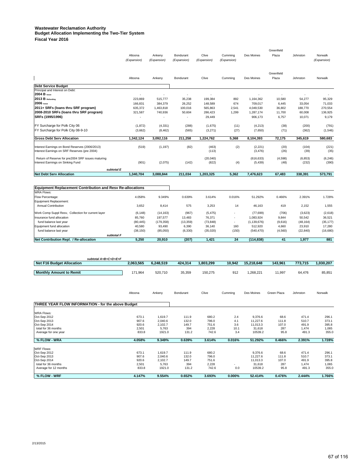#### **Wastewater Reclamation Authority Budget Allocation Implementing the Two-Tier System**

| <b>Fiscal Year 2016</b> |  |  |
|-------------------------|--|--|
|-------------------------|--|--|

| subtotal E<br><b>Net Debt Serv Allocation</b>                                                  | 1.340.704              | 3.088.844             | 211.034                  | 1.203.325            | 5,362                  | 7.476.623              | 67,483              | 338.391           | 573,791                |
|------------------------------------------------------------------------------------------------|------------------------|-----------------------|--------------------------|----------------------|------------------------|------------------------|---------------------|-------------------|------------------------|
| Return of Reserve for pre2004 SRF issues maturing<br>Interest Earnings on Sinking Fund         | (901)                  | (2,075)               | (142)                    | (20,040)<br>(822)    | (4)                    | (616, 633)<br>(5,439)  | (4,598)<br>(48)     | (6, 853)<br>(232) | (6, 246)<br>(390)      |
| Interest Earnings on Bond Reserves (2006/2013)<br>Interest Earnings on SRF Reserves (pre 2004) | (519)                  | (1, 197)              | (82)                     | (463)<br>(113)       | (2)                    | (2,221)<br>(3, 476)    | (20)<br>(26)        | (104)<br>(39)     | (221)<br>(35)          |
| <b>Gross Debt Serv Allocation</b>                                                              | 1,342,124              | 3,092,116             | 211,258                  | 1,224,762            | 5,368                  | 8,104,393              | 72,175              | 345,619           | 580,683                |
| FY Surcharge for Polk City 08-9-10                                                             | (3,662)                | (8, 462)              | (565)                    | (3,271)              | (27)                   | (7,650)                | (71)                | (362)             | (1,546)                |
| FY Surcharge for Polk City 06                                                                  | (1, 872)               | (4, 331)              | (288)                    | (1,675)              | (11)                   | (4,213)                | (38)                | (200)             | (791)                  |
| SRFs (1995/1996)                                                                               | ٠                      |                       |                          | 29,449               |                        | 906,173                | 6,757               | 10,071            | 9,179                  |
| 2011+ SRFs (loans thru SRF program)<br>2008-2010 SRFs (loans thru SRF program)                 | 635,372<br>321.587     | 1,463,818<br>740.936  | 100,016<br>50,604        | 565,863<br>286.423   | 2,541<br>1.299         | 4,049,530<br>1.287.174 | 36,802<br>11.700    | 188,770<br>60.008 | 270,554<br>136,925     |
| 2006 Issue                                                                                     | 166.831                | 384,379               | 26,252                   | 148.589              | 674                    | 709.017                | 6,445               | 33,054            | 71,033                 |
| 2013 B Refunding                                                                               | 223,869                | 515,777               | 35,238                   | 199,384              | 892                    | 1,164,362              | 10,580              | 54,277            | 95,329                 |
| Principal and Interest on Debt:<br>2004 B issue                                                |                        |                       |                          |                      |                        |                        |                     |                   |                        |
| <b>Debt Service Budget</b>                                                                     |                        |                       |                          |                      |                        |                        |                     |                   |                        |
|                                                                                                | Altoona                | Ankeny                | Bondurant                | Clive                | Cumming                | Des Moines             | Greenfield<br>Plaza | Johnston          | Norwalk                |
|                                                                                                | Altoona<br>(Expansion) | Ankeny<br>(Expansion) | Bondurant<br>(Expansion) | Clive<br>(Expansion) | Cumming<br>(Expansion) | Des Moines             | Plaza               | Johnston          | Norwalk<br>(Expansion) |
|                                                                                                |                        |                       |                          |                      |                        |                        | Greenfield          |                   |                        |

| <b>Equipment Replacement Contribution and Resy Re-allocations</b> |           |            |           |           |        |               |         |           |           |
|-------------------------------------------------------------------|-----------|------------|-----------|-----------|--------|---------------|---------|-----------|-----------|
| <b>WRA Flows:</b>                                                 |           |            |           |           |        |               |         |           |           |
| Flow Percentage:                                                  | 4.058%    | 9.349%     | 0.639%    | 3.614%    | 0.016% | 51.292%       | 0.466%  | 2.391%    | 1.728%    |
| Equipment Replacement:                                            |           |            |           |           |        |               |         |           |           |
| Annual Contribution                                               | 3,652     | 8,414      | 575       | 3,253     | 14     | 46.163        | 419     | 2,152     | 1,555     |
| Work Comp Suppl Resv, Collection for current layer                | (6, 148)  | (14, 163)  | (967)     | (5, 475)  |        | (77, 699)     | (706)   | (3,623)   | (2,618)   |
| Insurance fund allocation                                         | 85.760    | 197.577    | 13.483    | 76.371    |        | 1.083.924     | 9.844   | 50,542    | 36,521    |
| fund balance last year                                            | (80, 445) | (179, 358) | (13, 359) | (73, 848) |        | (1, 139, 676) | (9,616) | (48, 164) | (35, 177) |
| Equipment fund allocation                                         | 40.580    | 93.490     | 6,390     | 36.140    | 160    | 512.920       | 4.660   | 23,910    | 17.280    |
| fund balance last year                                            | (38, 150) | (85,050)   | (6,330)   | (35,020)  | (150)  | (540, 470)    | (4,560) | (22, 840) | (16,680)  |
| subtotal F                                                        |           |            |           |           |        |               |         |           |           |
| Net Contribution Repl. / Re-allocation                            | 5.250     | 20.910     | (207)     | 1.421     | 24     | (114, 838)    | 41      | 1,977     | 881       |

| subtotal A+B+C+D+E+F                               |           |           |           |           |           |            |             |          |           |
|----------------------------------------------------|-----------|-----------|-----------|-----------|-----------|------------|-------------|----------|-----------|
| <b>Net F16 Budget Allocation</b>                   | 2,063,565 | 6,248,519 | 424,314   | 1,803,299 | 10,942    | 15,218,648 | 143,961     | 773,715  | 1,030,207 |
| <b>Monthly Amount to Remit</b>                     | 171,964   | 520,710   | 35,359    | 150,275   | 912       | 1,268,221  | 11,997      | 64,476   | 85,851    |
|                                                    | Altoona   | Ankeny    | Bondurant | Clive     | Cumming   | Des Moines | Green Plaza | Johnston | Norwalk   |
| THREE YEAR FLOW INFORMATION - for the above Budget |           |           |           |           |           |            |             |          |           |
| <b>WRA Flows:</b>                                  |           |           |           |           |           |            |             |          |           |
| Oct-Sep 2012                                       | 673.1     | 1,619.7   | 111.9     | 680.2     | 2.4       | 9,376.6    | 68.6        | 471.4    | 296.1     |
| Oct-Sep 2013                                       | 907.6     | 2.040.6   | 132.0     | 796.0     | 4.1       | 11.227.6   | 111.8       | 510.7    | 373.1     |
| Oct-Sep 2014                                       | 920.6     | 2,102.7   | 149.7     | 751.6     | 3.6       | 11,013.3   | 107.0       | 491.9    | 395.8     |
| total for 36 months                                | 2,501     | 5,763     | 394       | 2,228     | 10.1      | 31.618     | 287         | 1,474    | 1,065     |
| Average for one year                               | 833.8     | 1921.0    | 131.2     | 742.6     | 3.4       | 10539.2    | 95.8        | 491.3    | 355.0     |
| % FLOW - WRA                                       | 4.058%    | 9.349%    | 0.639%    | 3.614%    | 0.016%    | 51.292%    | 0.466%      | 2.391%   | 1.728%    |
| <b>WRF Flows:</b>                                  |           |           |           |           |           |            |             |          |           |
| Oct-Sep 2012                                       | 673.1     | 1.619.7   | 111.9     | 680.2     |           | 9.376.6    | 68.6        | 471.4    | 296.1     |
| Oct-Sep 2013                                       | 907.6     | 2.040.6   | 132.0     | 796.0     |           | 11.227.6   | 111.8       | 510.7    | 373.1     |
| Oct-Sep 2014                                       | 920.6     | 2,102.7   | 149.7     | 751.6     |           | 11.013.3   | 107.0       | 491.9    | 395.8     |
| total for 36 months                                | 2,501     | 5,763     | 394       | 2,228     |           | 31,618     | 287         | 1,474    | 1,065     |
| Average for 12 months                              | 833.8     | 1921.0    | 131.2     | 742.6     | 0.0       | 10539.2    | 95.8        | 491.3    | 355.0     |
| % FLOW - WRF                                       | 4.147%    | 9.554%    | 0.652%    | 3.693%    | $0.000\%$ | 52.414%    | 0.476%      | 2.444%   | 1.766%    |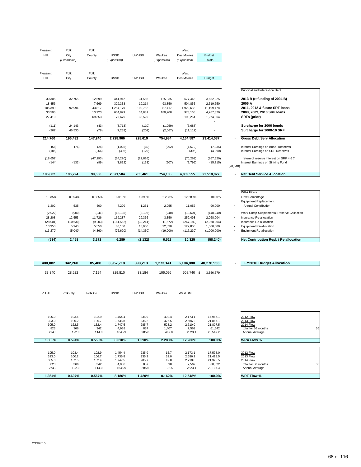| Pleasant<br>Hill                                                                                                 | Polk<br>City<br>(Expansion)                                                                                  | Polk<br>County                                                                                          | <b>USSD</b><br>(Expansion)                                                                                                   | <b>UWHSD</b>                                                                                                               | Waukee<br>(Expansion)                                                                                          | West<br>Des Moines<br>(Expansion)                                                                                               | <b>Budget</b><br><b>Totals</b>                                                                                                 |                                                                                |                                                                                                                                                                                                                                                                                                                                  |
|------------------------------------------------------------------------------------------------------------------|--------------------------------------------------------------------------------------------------------------|---------------------------------------------------------------------------------------------------------|------------------------------------------------------------------------------------------------------------------------------|----------------------------------------------------------------------------------------------------------------------------|----------------------------------------------------------------------------------------------------------------|---------------------------------------------------------------------------------------------------------------------------------|--------------------------------------------------------------------------------------------------------------------------------|--------------------------------------------------------------------------------|----------------------------------------------------------------------------------------------------------------------------------------------------------------------------------------------------------------------------------------------------------------------------------------------------------------------------------|
| Pleasant<br>Hill                                                                                                 | Polk<br>City                                                                                                 | Polk<br>County                                                                                          | <b>USSD</b>                                                                                                                  | <b>UWHSD</b>                                                                                                               | Waukee                                                                                                         | West<br>Des Moines                                                                                                              | Budget                                                                                                                         |                                                                                |                                                                                                                                                                                                                                                                                                                                  |
|                                                                                                                  |                                                                                                              |                                                                                                         |                                                                                                                              |                                                                                                                            |                                                                                                                |                                                                                                                                 |                                                                                                                                |                                                                                | Principal and Interest on Debt                                                                                                                                                                                                                                                                                                   |
| $\overline{\phantom{a}}$<br>30,305<br>18,456<br>105,399<br>33,505<br>27,410                                      | 32,765<br>92,994                                                                                             | $\overline{\phantom{a}}$<br>12,599<br>7,669<br>43,817<br>13,923<br>69,353                               | $\overline{\phantom{a}}$<br>441,912<br>329,333<br>1,254,179<br>634,829<br>79,679                                             | $\overline{\phantom{a}}$<br>31,556<br>19,214<br>109,752<br>34,881<br>33,529                                                | 125,935<br>93,850<br>357,417<br>180,908                                                                        | $\overline{\phantom{a}}$<br>677,445<br>504,855<br>1,922,655<br>973,168<br>103,264                                               | 3,652,225<br>2,519,650<br>11,199,478<br>4,767,870<br>1,274,864                                                                 |                                                                                | 2013 B (refunding of 2004 B)<br>2006 A<br>2011, 2012 & future SRF loans<br>2008, 2009, 2010 SRF loans<br>SRFs (prior)                                                                                                                                                                                                            |
| (111)<br>(202)                                                                                                   | 24,143<br>46,530                                                                                             | (43)<br>(78)                                                                                            | (3, 713)<br>(7, 253)                                                                                                         | (110)<br>(202)                                                                                                             | (1,059)<br>(2,067)                                                                                             | (5,688)<br>(11, 112)                                                                                                            | ٠<br>$\overline{\phantom{a}}$                                                                                                  |                                                                                | Surcharge for 2006 bonds<br>Surcharge for 2008-10 SRF                                                                                                                                                                                                                                                                            |
| 214,760                                                                                                          | 196,432                                                                                                      | 147,240                                                                                                 | 2,728,966                                                                                                                    | 228,619                                                                                                                    | 754,984                                                                                                        | 4,164,587                                                                                                                       | 23,414,087                                                                                                                     |                                                                                | <b>Gross Debt Serv Allocation</b>                                                                                                                                                                                                                                                                                                |
| (58)<br>(105)                                                                                                    | (76)                                                                                                         | (24)<br>(266)                                                                                           | (1,025)<br>(306)                                                                                                             | (60)<br>(129)                                                                                                              | (292)                                                                                                          | (1, 572)<br>(396)                                                                                                               | (7, 935)<br>(4,890)                                                                                                            |                                                                                | Interest Earnings on Bond Reserves<br>Interest Earnings on SRF Reserves                                                                                                                                                                                                                                                          |
| (18, 652)<br>(144)                                                                                               | (132)                                                                                                        | (47, 193)<br>(99)                                                                                       | (54, 220)<br>(1,832)                                                                                                         | (22, 816)<br>(153)                                                                                                         | (507)                                                                                                          | (70, 269)<br>(2,795)                                                                                                            | (867, 520)<br>(15, 715)                                                                                                        | (28, 540)                                                                      | return of reserve interest on SRF 4 6 7<br>Interest Earnings on Sinking Fund                                                                                                                                                                                                                                                     |
| 195,802                                                                                                          | 196,224                                                                                                      | 99,658                                                                                                  | 2,671,584                                                                                                                    | 205,461                                                                                                                    | 754,185                                                                                                        | 4,089,555                                                                                                                       | 22,518,027                                                                                                                     |                                                                                | <b>Net Debt Service Allocation</b>                                                                                                                                                                                                                                                                                               |
| 1.335%<br>1,202<br>(2,022)<br>28,208<br>(28,001)<br>13,350<br>(13, 270)<br>(534)<br>400,082<br>33,340<br>PI Hill | 0.594%<br>535<br>(900)<br>12,553<br>(10, 630)<br>5,940<br>(5,040)<br>2,458<br>342,260<br>28,522<br>Polk City | 0.555%<br>500<br>(841)<br>11,726<br>(9,203)<br>5,550<br>(4, 360)<br>3,372<br>85,488<br>7,124<br>Polk Co | 8.010%<br>7,209<br>(12, 135)<br>169,287<br>(161, 552)<br>80,100<br>(76, 620)<br>6,289<br>3,957,718<br>329,810<br><b>USSD</b> | 1.390%<br>1,251<br>(2, 105)<br>29,366<br>(30, 214)<br>13,900<br>(14, 330)<br>(2, 132)<br>398,213<br>33,184<br><b>UWHSD</b> | 2.283%<br>2,055<br>(240)<br>3,350<br>(1, 572)<br>22,830<br>(19,900)<br>6,523<br>1,273,141<br>106,095<br>Waukee | 12.280%<br>11,052<br>(18,601)<br>259,493<br>(247, 189)<br>122,800<br>(117, 230)<br>10,325<br>6,104,880<br>508,740 \$<br>West DM | 100.0%<br>90,000<br>(148, 240)<br>2,068,004<br>(2,068,004)<br>1,000,000<br>(1,000,000)<br>(58, 240)<br>40,278,953<br>3,356,579 | $\overline{a}$<br>$\overline{\phantom{a}}$<br>$\blacksquare$<br>$\overline{a}$ | <b>WRA Flows</b><br>Flow Percentage<br><b>Equipment Replacement</b><br>Annual Contribution<br>Work Comp Supplemental Reserve Collection<br>Insurance Re-allocation<br>Insurance Re-allocation<br>Equipment Re-allocation<br>Equipment Re-allocation<br>Net Contribution Repl. / Re-allocation<br><b>FY2016 Budget Allocation</b> |
| 195.0                                                                                                            | 103.4                                                                                                        | 102.9                                                                                                   | 1,454.4                                                                                                                      | 235.9                                                                                                                      | 402.4                                                                                                          | 2,173.1                                                                                                                         | 17,967.1                                                                                                                       |                                                                                | <b>2012 Flow</b>                                                                                                                                                                                                                                                                                                                 |
| 323.0<br>305.0<br>823<br>274.3                                                                                   | 100.2<br>162.5<br>366<br>122.0                                                                               | 106.7<br>132.4<br>342<br>114.0                                                                          | 1,735.8<br>1,747.5<br>4,938<br>1645.9                                                                                        | 335.2<br>285.7<br>857<br>285.6                                                                                             | 476.5<br>528.2<br>1,407<br>469.0                                                                               | 2,686.2<br>2,710.0<br>7,569<br>2523.1                                                                                           | 21,867.1<br>21,807.5<br>61,642<br>20,547.2                                                                                     |                                                                                | <b>2013 Flow</b><br><b>2014 Flow</b><br>total for 36 months<br>36<br>Annual Average                                                                                                                                                                                                                                              |
| 1.335%                                                                                                           | 0.594%                                                                                                       | 0.555%                                                                                                  | 8.010%                                                                                                                       | 1.390%                                                                                                                     | 2.283%                                                                                                         | 12.280%                                                                                                                         | 100.0%                                                                                                                         |                                                                                | <b>WRA Flow %</b>                                                                                                                                                                                                                                                                                                                |
| 195.0<br>323.0<br>305.0<br>823<br>274.3                                                                          | 103.4<br>100.2<br>162.5<br>366<br>122.0                                                                      | 102.9<br>106.7<br>132.4<br>342<br>114.0                                                                 | 1,454.4<br>1,735.8<br>1,747.5<br>4,938<br>1645.9                                                                             | 235.9<br>335.2<br>285.7<br>857<br>285.6                                                                                    | 15.7<br>32.0<br>49.8<br>98<br>32.5                                                                             | 2,173.1<br>2,686.2<br>2,710.0<br>7,569<br>2523.1                                                                                | 17,578.0<br>21,418.5<br>21,325.5<br>60,322<br>20,107.3                                                                         |                                                                                | <b>2012 Flow</b><br><b>2013 Flow</b><br><b>2014 Flow</b><br>total for 36 months<br>36<br>Annual Average                                                                                                                                                                                                                          |
| 1.364%                                                                                                           | 0.607%                                                                                                       | 0.567%                                                                                                  | 8.186%                                                                                                                       | 1.420%                                                                                                                     | 0.162%                                                                                                         | 12.548%                                                                                                                         | 100.0%                                                                                                                         |                                                                                | <b>WRF Flow %</b>                                                                                                                                                                                                                                                                                                                |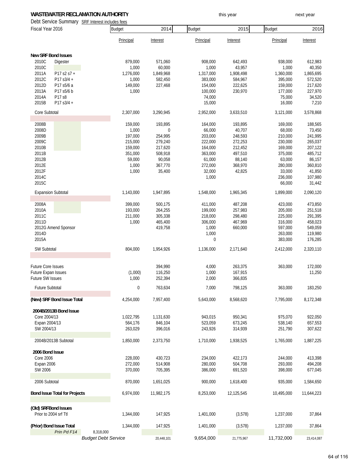#### **WASTEWATER RECLAMATION AUTHORITY The CONSTANT OF STATE WASTEWATER RECLAMATION AUTHORITY this year** this year

Debt Service Summary SRF Interest includes fees

| Fiscal Year 2016           |                                      |                            | <b>Budget</b> | 2014       | Budget    | 2015       | <b>Budget</b> | 2016       |
|----------------------------|--------------------------------------|----------------------------|---------------|------------|-----------|------------|---------------|------------|
|                            |                                      |                            | Principal     | Interest   | Principal | Interest   | Principal     | Interest   |
| <b>New SRF Bond Issues</b> |                                      |                            |               |            |           |            |               |            |
| 2010C                      | Digester                             |                            | 879,000       | 571,060    | 908,000   | 642,493    | 938,000       | 612,983    |
| 2010C                      |                                      |                            | 1,000         | 60,000     | 1,000     | 43,957     | 1,000         | 40,350     |
| 2011A                      | P17 s2 s7 +                          |                            | 1,276,000     | 1,849,968  | 1,317,000 | 1,908,498  | 1,360,000     | 1,865,695  |
| 2012C                      | P17 s3/4 +                           |                            | 1,000         | 582,450    | 383,000   | 584,967    | 395,000       | 572,520    |
| 2012D                      | P17 s5/6 a                           |                            | 149,000       | 227,468    | 154,000   | 222,625    | 159,000       | 217,620    |
| 2013A                      | P17 s5/6 b                           |                            | 1,000         |            | 100,000   | 230,970    | 177,000       | 227,970    |
| 2014A                      | P17 s8                               |                            |               |            | 74,000    |            | 75,000        | 34,520     |
| 2015B                      | P17 $s3/4 +$                         |                            |               |            | 15,000    |            | 16,000        | 7,210      |
| Core Subtotal              |                                      |                            | 2,307,000     | 3,290,945  | 2,952,000 | 3,633,510  | 3,121,000     | 3,578,868  |
| 2008B                      |                                      |                            | 159,000       | 193,895    | 164,000   | 193,895    | 169,000       | 188,565    |
| 2008D                      |                                      |                            | 1,000         | 0          | 66,000    | 40,707     | 68,000        | 73,450     |
| 2009B                      |                                      |                            | 197,000       | 254,995    | 203,000   | 248,593    | 210,000       | 241,995    |
| 2009C                      |                                      |                            | 215,000       | 279,240    | 222,000   | 272,253    | 230,000       | 265,037    |
| 2010B                      |                                      |                            | 159,000       | 217,620    | 164,000   | 212,452    | 169,000       | 207,122    |
| 2011B                      |                                      |                            | 351,000       | 508,918    | 363,000   | 497,510    | 375,000       | 485,712    |
| 2012B                      |                                      |                            | 59,000        | 90,058     | 61,000    | 88,140     | 63,000        | 86,157     |
| 2012E                      |                                      |                            | 1,000         | 367,770    | 272,000   | 368,970    | 280,000       | 360,810    |
| 2012F                      |                                      |                            | 1,000         | 35,400     | 32,000    | 42,825     | 33,000        | 41,850     |
| 2014C                      |                                      |                            |               |            | 1,000     |            | 236,000       | 107,980    |
| 2015C                      |                                      |                            |               |            |           |            | 66,000        | 31,442     |
| <b>Expansion Subtotal</b>  |                                      |                            | 1,143,000     | 1,947,895  | 1,548,000 | 1,965,345  | 1,899,000     | 2,090,120  |
| 2008A                      |                                      |                            | 399,000       | 500,175    | 411,000   | 487,208    | 423,000       | 473,850    |
| 2010A                      |                                      |                            | 193,000       | 264,255    | 199,000   | 257,983    | 205,000       | 251,518    |
| 2011C                      |                                      |                            | 211,000       | 305,338    | 218,000   | 298,480    | 225,000       | 291,395    |
| 2011D                      |                                      |                            | 1,000         | 465,400    | 306,000   | 467,969    | 316,000       | 458,023    |
|                            | 2012G Amend Sponsor                  |                            |               | 419,758    | 1,000     | 660,000    | 597,000       | 549,059    |
| 2014D                      |                                      |                            |               |            | 1,000     |            | 263,000       | 119,980    |
| 2015A                      |                                      |                            |               |            | 0         |            | 383,000       | 176,285    |
| SW Subtotal                |                                      |                            | 804,000       | 1,954,926  | 1,136,000 | 2,171,640  | 2,412,000     | 2,320,110  |
|                            |                                      |                            |               |            |           |            |               |            |
| <b>Future Core Issues</b>  |                                      |                            |               | 394,990    | 4,000     | 263,375    | 363,000       | 172,000    |
| Future Expan Issues        |                                      |                            | (1,000)       | 116,250    | 1,000     | 167,915    |               | 11,250     |
| Future SW Issues           |                                      |                            | 1,000         | 252,394    | 2,000     | 366,835    |               |            |
| <b>Future Subtotal</b>     |                                      |                            | $\Omega$      | 763,634    | 7,000     | 798,125    | 363,000       | 183,250    |
|                            | (New) SRF Bond Issue Total           |                            | 4,254,000     | 7,957,400  | 5,643,000 | 8,568,620  | 7,795,000     | 8,172,348  |
|                            | 2004B/2013B Bond Issue               |                            |               |            |           |            |               |            |
| Core 2004/13               |                                      |                            | 1,022,795     | 1,131,630  | 943,015   | 950,341    | 975,070       | 922,050    |
| Expan 2004/13              |                                      |                            | 564,176       | 846,104    | 523,059   | 673,245    | 538,140       | 657,553    |
| SW 2004/13                 |                                      |                            | 263,029       | 396,016    | 243,926   | 314,939    | 251,790       | 307,622    |
|                            | 2004B/2013B Subtotal                 |                            | 1,850,000     | 2,373,750  | 1,710,000 | 1,938,525  | 1,765,000     | 1,887,225  |
| 2006 Bond Issue            |                                      |                            |               |            |           |            |               |            |
| <b>Core 2006</b>           |                                      |                            | 228,000       | 430,723    | 234,000   | 422,173    | 244,000       | 413,398    |
| Expan 2006                 |                                      |                            | 272,000       | 514,908    | 280,000   | 504,708    | 293,000       | 494,208    |
| SW 2006                    |                                      |                            | 370,000       | 705,395    | 386,000   | 691,520    | 398,000       | 677,045    |
|                            |                                      |                            |               |            |           |            |               |            |
| 2006 Subtotal              |                                      |                            | 870,000       | 1,651,025  | 900,000   | 1,618,400  | 935,000       | 1,584,650  |
|                            | <b>Bond Issue Total for Projects</b> |                            | 6,974,000     | 11,982,175 | 8,253,000 | 12,125,545 | 10,495,000    | 11,644,223 |
| (Old) SRFBond Issues       |                                      |                            |               |            |           |            |               |            |
| Prior to 2004 srf Ttl      |                                      |                            | 1,344,000     | 147,925    | 1,401,000 | (3,578)    | 1,237,000     | 37,864     |
| (Prior) Bond Issue Total   | Prin Pd F14                          | 8,318,000                  | 1,344,000     | 147,925    | 1,401,000 | (3, 578)   | 1,237,000     | 37,864     |
|                            |                                      | <b>Budget Debt Service</b> |               | 20,448,101 | 9,654,000 | 21,775,967 | 11,732,000    | 23,414,087 |